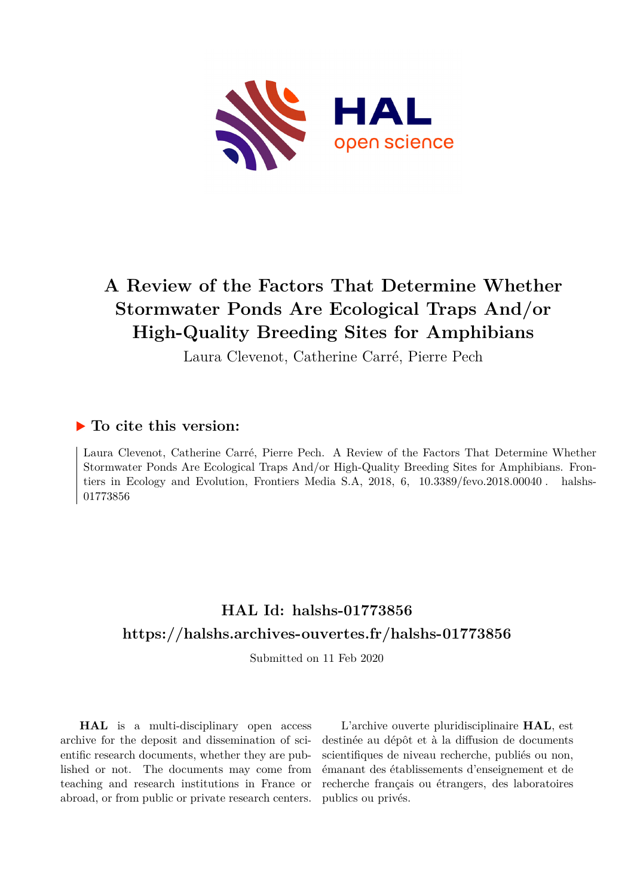

## **A Review of the Factors That Determine Whether Stormwater Ponds Are Ecological Traps And/or High-Quality Breeding Sites for Amphibians**

Laura Clevenot, Catherine Carré, Pierre Pech

## **To cite this version:**

Laura Clevenot, Catherine Carré, Pierre Pech. A Review of the Factors That Determine Whether Stormwater Ponds Are Ecological Traps And/or High-Quality Breeding Sites for Amphibians. Frontiers in Ecology and Evolution, Frontiers Media S.A,  $2018$ ,  $6$ ,  $10.3389$ /fevo.2018.00040. halshs-01773856ff

## **HAL Id: halshs-01773856 <https://halshs.archives-ouvertes.fr/halshs-01773856>**

Submitted on 11 Feb 2020

**HAL** is a multi-disciplinary open access archive for the deposit and dissemination of scientific research documents, whether they are published or not. The documents may come from teaching and research institutions in France or abroad, or from public or private research centers.

L'archive ouverte pluridisciplinaire **HAL**, est destinée au dépôt et à la diffusion de documents scientifiques de niveau recherche, publiés ou non, émanant des établissements d'enseignement et de recherche français ou étrangers, des laboratoires publics ou privés.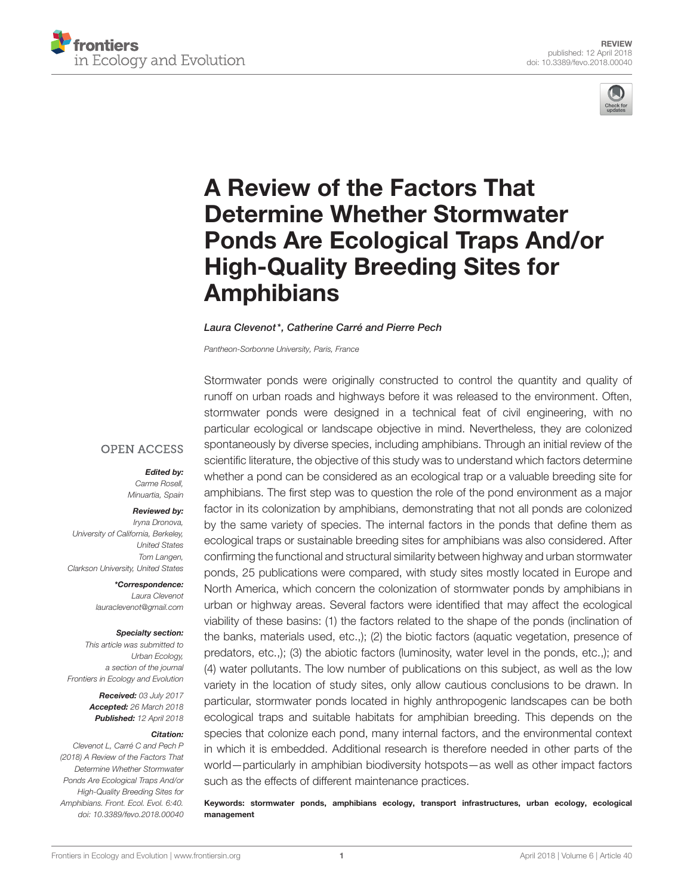



# A Review of the Factors That Determine Whether Stormwater [Ponds Are Ecological Traps And/or](https://www.frontiersin.org/articles/10.3389/fevo.2018.00040/full) High-Quality Breeding Sites for **Amphibians**

#### [Laura Clevenot\\*](http://loop.frontiersin.org/people/423296/overview), Catherine Carré and [Pierre Pech](http://loop.frontiersin.org/people/543680/overview)

Pantheon-Sorbonne University, Paris, France

#### **OPEN ACCESS**

Edited by: Carme Rosell, Minuartia, Spain

#### Reviewed by:

Iryna Dronova, University of California, Berkeley, United States Tom Langen, Clarkson University, United States

> \*Correspondence: Laura Clevenot [lauraclevenot@gmail.com](mailto:lauraclevenot@gmail.com)

#### Specialty section:

This article was submitted to Urban Ecology, a section of the journal Frontiers in Ecology and Evolution

> Received: 03 July 2017 Accepted: 26 March 2018 Published: 12 April 2018

#### Citation:

Clevenot L, Carré C and Pech P (2018) A Review of the Factors That Determine Whether Stormwater Ponds Are Ecological Traps And/or High-Quality Breeding Sites for Amphibians. Front. Ecol. Evol. 6:40. doi: [10.3389/fevo.2018.00040](https://doi.org/10.3389/fevo.2018.00040) Stormwater ponds were originally constructed to control the quantity and quality of runoff on urban roads and highways before it was released to the environment. Often, stormwater ponds were designed in a technical feat of civil engineering, with no particular ecological or landscape objective in mind. Nevertheless, they are colonized spontaneously by diverse species, including amphibians. Through an initial review of the scientific literature, the objective of this study was to understand which factors determine whether a pond can be considered as an ecological trap or a valuable breeding site for amphibians. The first step was to question the role of the pond environment as a major factor in its colonization by amphibians, demonstrating that not all ponds are colonized by the same variety of species. The internal factors in the ponds that define them as ecological traps or sustainable breeding sites for amphibians was also considered. After confirming the functional and structural similarity between highway and urban stormwater ponds, 25 publications were compared, with study sites mostly located in Europe and North America, which concern the colonization of stormwater ponds by amphibians in urban or highway areas. Several factors were identified that may affect the ecological viability of these basins: (1) the factors related to the shape of the ponds (inclination of the banks, materials used, etc.,); (2) the biotic factors (aquatic vegetation, presence of predators, etc.,); (3) the abiotic factors (luminosity, water level in the ponds, etc.,); and (4) water pollutants. The low number of publications on this subject, as well as the low variety in the location of study sites, only allow cautious conclusions to be drawn. In particular, stormwater ponds located in highly anthropogenic landscapes can be both ecological traps and suitable habitats for amphibian breeding. This depends on the species that colonize each pond, many internal factors, and the environmental context in which it is embedded. Additional research is therefore needed in other parts of the world—particularly in amphibian biodiversity hotspots—as well as other impact factors such as the effects of different maintenance practices.

Keywords: stormwater ponds, amphibians ecology, transport infrastructures, urban ecology, ecological management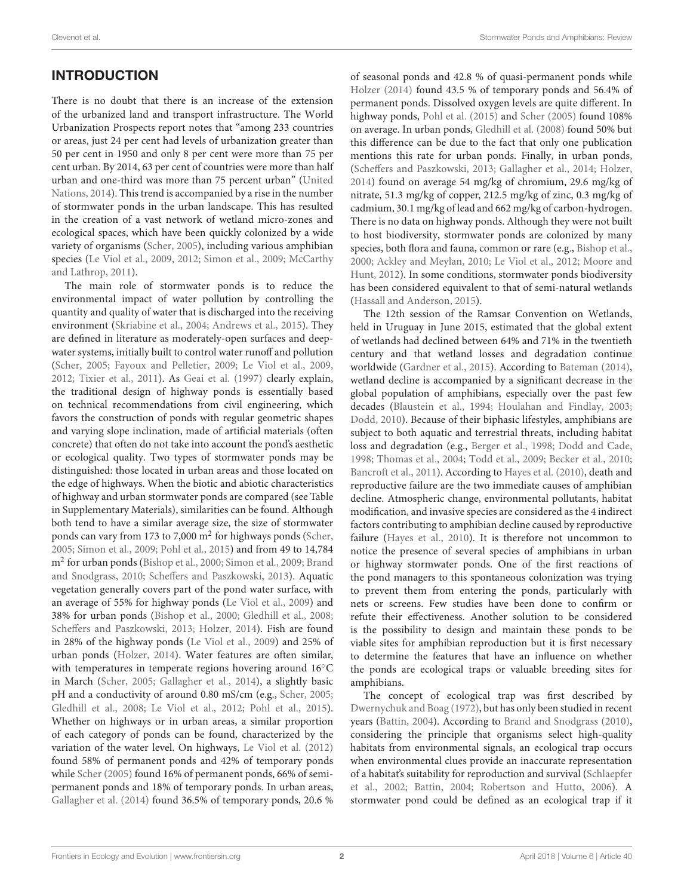## INTRODUCTION

There is no doubt that there is an increase of the extension of the urbanized land and transport infrastructure. The World Urbanization Prospects report notes that "among 233 countries or areas, just 24 per cent had levels of urbanization greater than 50 per cent in 1950 and only 8 per cent were more than 75 per cent urban. By 2014, 63 per cent of countries were more than half urban and one-third was more than 75 percent urban" (United Nations, [2014\)](#page-12-0). This trend is accompanied by a rise in the number of stormwater ponds in the urban landscape. This has resulted in the creation of a vast network of wetland micro-zones and ecological spaces, which have been quickly colonized by a wide variety of organisms [\(Scher, 2005\)](#page-11-0), including various amphibian species [\(Le Viol et al., 2009,](#page-10-0) [2012;](#page-10-1) [Simon et al., 2009;](#page-11-1) McCarthy and Lathrop, [2011\)](#page-10-2).

The main role of stormwater ponds is to reduce the environmental impact of water pollution by controlling the quantity and quality of water that is discharged into the receiving environment [\(Skriabine et al., 2004;](#page-11-2) [Andrews et al., 2015\)](#page-9-0). They are defined in literature as moderately-open surfaces and deepwater systems, initially built to control water runoff and pollution [\(Scher, 2005;](#page-11-0) [Fayoux and Pelletier, 2009;](#page-10-3) [Le Viol et al., 2009,](#page-10-0) [2012;](#page-10-1) [Tixier et al., 2011\)](#page-11-3). As [Geai et al. \(1997\)](#page-10-4) clearly explain, the traditional design of highway ponds is essentially based on technical recommendations from civil engineering, which favors the construction of ponds with regular geometric shapes and varying slope inclination, made of artificial materials (often concrete) that often do not take into account the pond's aesthetic or ecological quality. Two types of stormwater ponds may be distinguished: those located in urban areas and those located on the edge of highways. When the biotic and abiotic characteristics of highway and urban stormwater ponds are compared (see Table in Supplementary Materials), similarities can be found. Although both tend to have a similar average size, the size of stormwater ponds can vary from 173 to 7,000 m<sup>2</sup> for highways ponds [\(Scher,](#page-11-0) [2005;](#page-11-0) [Simon et al., 2009;](#page-11-1) [Pohl et al., 2015\)](#page-11-4) and from 49 to 14,784 m<sup>2</sup> for urban ponds [\(Bishop et al., 2000;](#page-9-1) [Simon et al., 2009;](#page-11-1) Brand and Snodgrass, [2010;](#page-9-2) [Scheffers and Paszkowski, 2013\)](#page-11-5). Aquatic vegetation generally covers part of the pond water surface, with an average of 55% for highway ponds [\(Le Viol et al., 2009\)](#page-10-0) and 38% for urban ponds [\(Bishop et al., 2000;](#page-9-1) [Gledhill et al., 2008;](#page-10-5) [Scheffers and Paszkowski, 2013;](#page-11-5) [Holzer, 2014\)](#page-10-6). Fish are found in 28% of the highway ponds [\(Le Viol et al., 2009\)](#page-10-0) and 25% of urban ponds [\(Holzer, 2014\)](#page-10-6). Water features are often similar, with temperatures in temperate regions hovering around 16°C in March [\(Scher, 2005;](#page-11-0) [Gallagher et al., 2014\)](#page-10-7), a slightly basic pH and a conductivity of around 0.80 mS/cm (e.g., [Scher, 2005;](#page-11-0) [Gledhill et al., 2008;](#page-10-5) [Le Viol et al., 2012;](#page-10-1) [Pohl et al., 2015\)](#page-11-4). Whether on highways or in urban areas, a similar proportion of each category of ponds can be found, characterized by the variation of the water level. On highways, [Le Viol et al. \(2012\)](#page-10-1) found 58% of permanent ponds and 42% of temporary ponds while [Scher \(2005\)](#page-11-0) found 16% of permanent ponds, 66% of semipermanent ponds and 18% of temporary ponds. In urban areas, [Gallagher et al. \(2014\)](#page-10-7) found 36.5% of temporary ponds, 20.6 % of seasonal ponds and 42.8 % of quasi-permanent ponds while [Holzer \(2014\)](#page-10-6) found 43.5 % of temporary ponds and 56.4% of permanent ponds. Dissolved oxygen levels are quite different. In highway ponds, [Pohl et al. \(2015\)](#page-11-4) and [Scher \(2005\)](#page-11-0) found 108% on average. In urban ponds, [Gledhill et al. \(2008\)](#page-10-5) found 50% but this difference can be due to the fact that only one publication mentions this rate for urban ponds. Finally, in urban ponds, [\(Scheffers and Paszkowski, 2013;](#page-11-5) [Gallagher et al., 2014;](#page-10-7) [Holzer,](#page-10-6) [2014\)](#page-10-6) found on average 54 mg/kg of chromium, 29.6 mg/kg of nitrate, 51.3 mg/kg of copper, 212.5 mg/kg of zinc, 0.3 mg/kg of cadmium, 30.1 mg/kg of lead and 662 mg/kg of carbon-hydrogen. There is no data on highway ponds. Although they were not built to host biodiversity, stormwater ponds are colonized by many species, both flora and fauna, common or rare (e.g., [Bishop et al.,](#page-9-1) [2000;](#page-9-1) [Ackley and Meylan, 2010;](#page-9-3) [Le Viol et al., 2012;](#page-10-1) Moore and Hunt, [2012\)](#page-10-8). In some conditions, stormwater ponds biodiversity has been considered equivalent to that of semi-natural wetlands [\(Hassall and Anderson, 2015\)](#page-10-9).

The 12th session of the Ramsar Convention on Wetlands, held in Uruguay in June 2015, estimated that the global extent of wetlands had declined between 64% and 71% in the twentieth century and that wetland losses and degradation continue worldwide [\(Gardner et al., 2015\)](#page-10-10). According to [Bateman \(2014\)](#page-9-4), wetland decline is accompanied by a significant decrease in the global population of amphibians, especially over the past few decades [\(Blaustein et al., 1994;](#page-9-5) [Houlahan and Findlay, 2003;](#page-10-11) [Dodd, 2010\)](#page-9-6). Because of their biphasic lifestyles, amphibians are subject to both aquatic and terrestrial threats, including habitat loss and degradation (e.g., [Berger et al., 1998;](#page-9-7) [Dodd and Cade,](#page-9-8) [1998;](#page-9-8) [Thomas et al., 2004;](#page-11-6) [Todd et al., 2009;](#page-11-7) [Becker et al., 2010;](#page-9-9) [Bancroft et al., 2011\)](#page-9-10). According to [Hayes et al. \(2010\)](#page-10-12), death and reproductive failure are the two immediate causes of amphibian decline. Atmospheric change, environmental pollutants, habitat modification, and invasive species are considered as the 4 indirect factors contributing to amphibian decline caused by reproductive failure [\(Hayes et al., 2010\)](#page-10-12). It is therefore not uncommon to notice the presence of several species of amphibians in urban or highway stormwater ponds. One of the first reactions of the pond managers to this spontaneous colonization was trying to prevent them from entering the ponds, particularly with nets or screens. Few studies have been done to confirm or refute their effectiveness. Another solution to be considered is the possibility to design and maintain these ponds to be viable sites for amphibian reproduction but it is first necessary to determine the features that have an influence on whether the ponds are ecological traps or valuable breeding sites for amphibians.

The concept of ecological trap was first described by [Dwernychuk and Boag \(1972\)](#page-10-13), but has only been studied in recent years [\(Battin, 2004\)](#page-9-11). According to [Brand and Snodgrass \(2010\)](#page-9-2), considering the principle that organisms select high-quality habitats from environmental signals, an ecological trap occurs when environmental clues provide an inaccurate representation of a habitat's suitability for reproduction and survival (Schlaepfer et al., [2002;](#page-11-8) [Battin, 2004;](#page-9-11) [Robertson and Hutto, 2006\)](#page-11-9). A stormwater pond could be defined as an ecological trap if it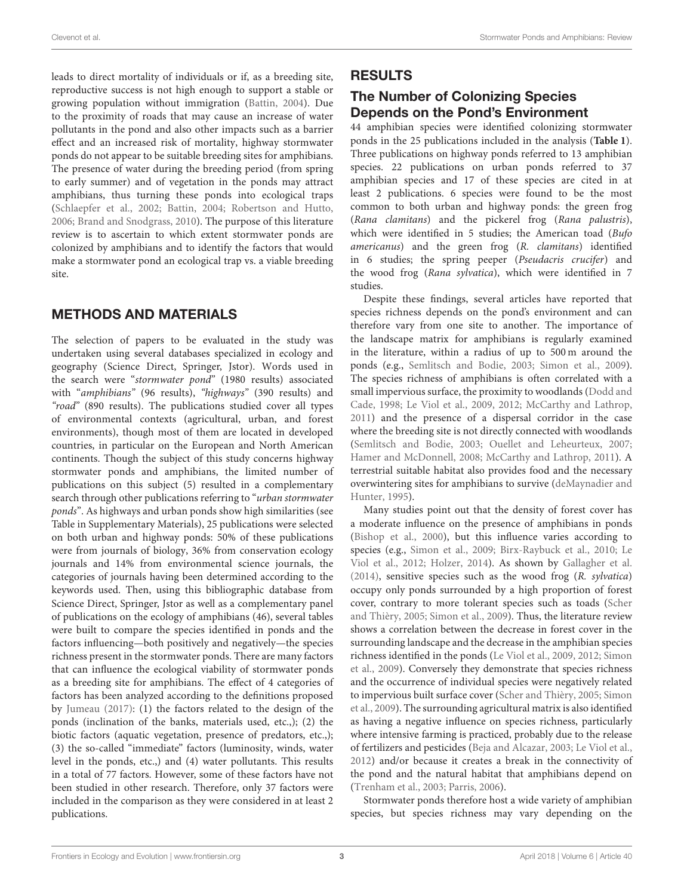leads to direct mortality of individuals or if, as a breeding site, reproductive success is not high enough to support a stable or growing population without immigration [\(Battin, 2004\)](#page-9-11). Due to the proximity of roads that may cause an increase of water pollutants in the pond and also other impacts such as a barrier effect and an increased risk of mortality, highway stormwater ponds do not appear to be suitable breeding sites for amphibians. The presence of water during the breeding period (from spring to early summer) and of vegetation in the ponds may attract amphibians, thus turning these ponds into ecological traps [\(Schlaepfer et al., 2002;](#page-11-8) [Battin, 2004;](#page-9-11) [Robertson and Hutto,](#page-11-9) [2006;](#page-11-9) [Brand and Snodgrass, 2010\)](#page-9-2). The purpose of this literature review is to ascertain to which extent stormwater ponds are colonized by amphibians and to identify the factors that would make a stormwater pond an ecological trap vs. a viable breeding site.

## METHODS AND MATERIALS

The selection of papers to be evaluated in the study was undertaken using several databases specialized in ecology and geography (Science Direct, Springer, Jstor). Words used in the search were "stormwater pond" (1980 results) associated with "amphibians" (96 results), "highways" (390 results) and "road" (890 results). The publications studied cover all types of environmental contexts (agricultural, urban, and forest environments), though most of them are located in developed countries, in particular on the European and North American continents. Though the subject of this study concerns highway stormwater ponds and amphibians, the limited number of publications on this subject (5) resulted in a complementary search through other publications referring to "urban stormwater ponds". As highways and urban ponds show high similarities (see Table in Supplementary Materials), 25 publications were selected on both urban and highway ponds: 50% of these publications were from journals of biology, 36% from conservation ecology journals and 14% from environmental science journals, the categories of journals having been determined according to the keywords used. Then, using this bibliographic database from Science Direct, Springer, Jstor as well as a complementary panel of publications on the ecology of amphibians (46), several tables were built to compare the species identified in ponds and the factors influencing—both positively and negatively—the species richness present in the stormwater ponds. There are many factors that can influence the ecological viability of stormwater ponds as a breeding site for amphibians. The effect of 4 categories of factors has been analyzed according to the definitions proposed by [Jumeau \(2017\)](#page-10-14): (1) the factors related to the design of the ponds (inclination of the banks, materials used, etc.,); (2) the biotic factors (aquatic vegetation, presence of predators, etc.,); (3) the so-called "immediate" factors (luminosity, winds, water level in the ponds, etc.,) and (4) water pollutants. This results in a total of 77 factors. However, some of these factors have not been studied in other research. Therefore, only 37 factors were included in the comparison as they were considered in at least 2 publications.

### RESULTS

### The Number of Colonizing Species Depends on the Pond's Environment

44 amphibian species were identified colonizing stormwater ponds in the 25 publications included in the analysis (**[Table 1](#page-4-0)**). Three publications on highway ponds referred to 13 amphibian species. 22 publications on urban ponds referred to 37 amphibian species and 17 of these species are cited in at least 2 publications. 6 species were found to be the most common to both urban and highway ponds: the green frog (Rana clamitans) and the pickerel frog (Rana palustris), which were identified in 5 studies; the American toad (Bufo americanus) and the green frog (R. clamitans) identified in 6 studies; the spring peeper (Pseudacris crucifer) and the wood frog (Rana sylvatica), which were identified in 7 studies.

Despite these findings, several articles have reported that species richness depends on the pond's environment and can therefore vary from one site to another. The importance of the landscape matrix for amphibians is regularly examined in the literature, within a radius of up to 500 m around the ponds (e.g., [Semlitsch and Bodie, 2003;](#page-11-10) [Simon et al., 2009\)](#page-11-1). The species richness of amphibians is often correlated with a small impervious surface, the proximity to woodlands (Dodd and Cade, [1998;](#page-9-8) [Le Viol et al., 2009,](#page-10-0) [2012;](#page-10-1) [McCarthy and Lathrop,](#page-10-2) [2011\)](#page-10-2) and the presence of a dispersal corridor in the case where the breeding site is not directly connected with woodlands [\(Semlitsch and Bodie, 2003;](#page-11-10) [Ouellet and Leheurteux, 2007;](#page-11-11) [Hamer and McDonnell, 2008;](#page-10-15) [McCarthy and Lathrop, 2011\)](#page-10-2). A terrestrial suitable habitat also provides food and the necessary overwintering sites for amphibians to survive (deMaynadier and Hunter, [1995\)](#page-9-12).

Many studies point out that the density of forest cover has a moderate influence on the presence of amphibians in ponds [\(Bishop et al., 2000\)](#page-9-1), but this influence varies according to species (e.g., [Simon et al., 2009;](#page-11-1) [Birx-Raybuck et al., 2010;](#page-9-13) Le Viol et al., [2012;](#page-10-1) [Holzer, 2014\)](#page-10-6). As shown by [Gallagher et al.](#page-10-7) [\(2014\)](#page-10-7), sensitive species such as the wood frog (R. sylvatica) occupy only ponds surrounded by a high proportion of forest cover, contrary to more tolerant species such as toads (Scher and Thièry, [2005;](#page-11-12) [Simon et al., 2009\)](#page-11-1). Thus, the literature review shows a correlation between the decrease in forest cover in the surrounding landscape and the decrease in the amphibian species richness identified in the ponds [\(Le Viol et al., 2009,](#page-10-0) [2012;](#page-10-1) Simon et al., [2009\)](#page-11-1). Conversely they demonstrate that species richness and the occurrence of individual species were negatively related to impervious built surface cover [\(Scher and Thièry, 2005;](#page-11-12) Simon et al., [2009\)](#page-11-1). The surrounding agricultural matrix is also identified as having a negative influence on species richness, particularly where intensive farming is practiced, probably due to the release of fertilizers and pesticides [\(Beja and Alcazar, 2003;](#page-9-14) [Le Viol et al.,](#page-10-1) [2012\)](#page-10-1) and/or because it creates a break in the connectivity of the pond and the natural habitat that amphibians depend on [\(Trenham et al., 2003;](#page-12-1) [Parris, 2006\)](#page-11-13).

Stormwater ponds therefore host a wide variety of amphibian species, but species richness may vary depending on the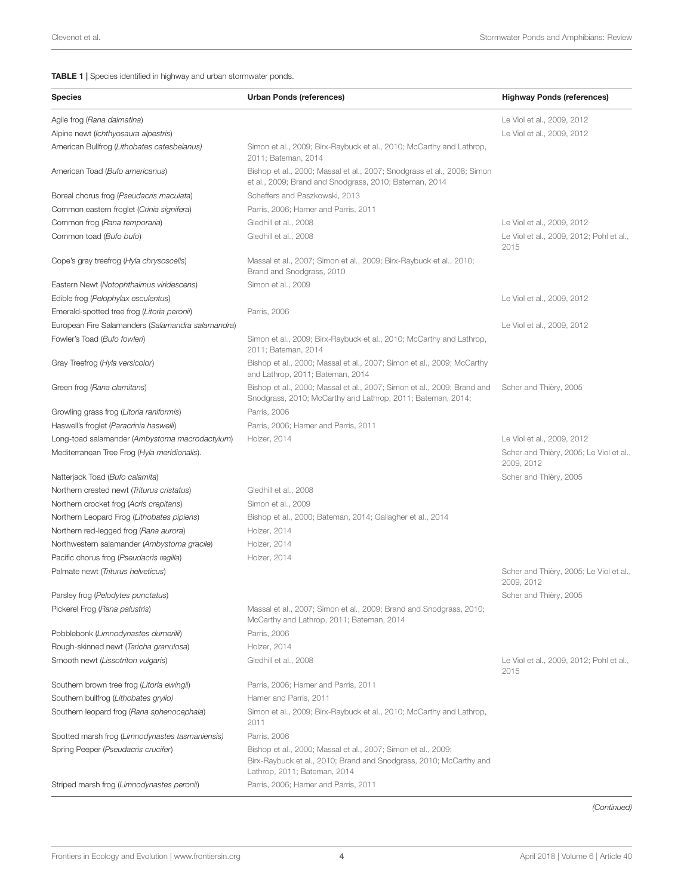#### <span id="page-4-0"></span>TABLE 1 | Species identified in highway and urban stormwater ponds.

| <b>Species</b>                                    | Urban Ponds (references)                                                                                                                                            | <b>Highway Ponds (references)</b>                     |
|---------------------------------------------------|---------------------------------------------------------------------------------------------------------------------------------------------------------------------|-------------------------------------------------------|
| Agile frog (Rana dalmatina)                       |                                                                                                                                                                     | Le Viol et al., 2009, 2012                            |
| Alpine newt (Ichthyosaura alpestris)              |                                                                                                                                                                     | Le Viol et al., 2009, 2012                            |
| American Bullfrog (Lithobates catesbeianus)       | Simon et al., 2009; Birx-Raybuck et al., 2010; McCarthy and Lathrop,<br>2011; Bateman, 2014                                                                         |                                                       |
| American Toad (Bufo americanus)                   | Bishop et al., 2000; Massal et al., 2007; Snodgrass et al., 2008; Simon<br>et al., 2009; Brand and Snodgrass, 2010; Bateman, 2014                                   |                                                       |
| Boreal chorus frog (Pseudacris maculata)          | Scheffers and Paszkowski, 2013                                                                                                                                      |                                                       |
| Common eastern froglet (Crinia signifera)         | Parris, 2006; Hamer and Parris, 2011                                                                                                                                |                                                       |
| Common frog (Rana temporaria)                     | Gledhill et al., 2008                                                                                                                                               | Le Viol et al., 2009, 2012                            |
| Common toad (Bufo bufo)                           | Gledhill et al., 2008                                                                                                                                               | Le Viol et al., 2009, 2012; Pohl et al.,<br>2015      |
| Cope's gray treefrog (Hyla chrysoscelis)          | Massal et al., 2007; Simon et al., 2009; Birx-Raybuck et al., 2010;<br>Brand and Snodgrass, 2010                                                                    |                                                       |
| Eastern Newt (Notophthalmus viridescens)          | Simon et al., 2009                                                                                                                                                  |                                                       |
| Edible frog (Pelophylax esculentus)               |                                                                                                                                                                     | Le Viol et al., 2009, 2012                            |
| Emerald-spotted tree frog (Litoria peronii)       | Parris, 2006                                                                                                                                                        |                                                       |
| European Fire Salamanders (Salamandra salamandra) |                                                                                                                                                                     | Le Viol et al., 2009, 2012                            |
| Fowler's Toad (Bufo fowleri)                      | Simon et al., 2009; Birx-Raybuck et al., 2010; McCarthy and Lathrop,<br>2011; Bateman, 2014                                                                         |                                                       |
| Gray Treefrog (Hyla versicolor)                   | Bishop et al., 2000; Massal et al., 2007; Simon et al., 2009; McCarthy<br>and Lathrop, 2011; Bateman, 2014                                                          |                                                       |
| Green frog (Rana clamitans)                       | Bishop et al., 2000; Massal et al., 2007; Simon et al., 2009; Brand and<br>Snodgrass, 2010; McCarthy and Lathrop, 2011; Bateman, 2014;                              | Scher and Thièry, 2005                                |
| Growling grass frog (Litoria raniformis)          | Parris, 2006                                                                                                                                                        |                                                       |
| Haswell's froglet (Paracrinia haswelli)           | Parris, 2006; Hamer and Parris, 2011                                                                                                                                |                                                       |
| Long-toad salamander (Ambystoma macrodactylum)    | Holzer, 2014                                                                                                                                                        | Le Viol et al., 2009, 2012                            |
| Mediterranean Tree Frog (Hyla meridionalis).      |                                                                                                                                                                     | Scher and Thièry, 2005; Le Viol et al.,<br>2009, 2012 |
| Natterjack Toad (Bufo calamita)                   |                                                                                                                                                                     | Scher and Thièry, 2005                                |
| Northern crested newt (Triturus cristatus)        | Gledhill et al., 2008                                                                                                                                               |                                                       |
| Northern crocket frog (Acris crepitans)           | Simon et al., 2009                                                                                                                                                  |                                                       |
| Northern Leopard Frog (Lithobates pipiens)        | Bishop et al., 2000; Bateman, 2014; Gallagher et al., 2014                                                                                                          |                                                       |
| Northern red-legged frog (Rana aurora)            | Holzer, 2014                                                                                                                                                        |                                                       |
| Northwestern salamander (Ambystoma gracile)       | Holzer, 2014                                                                                                                                                        |                                                       |
| Pacific chorus frog (Pseudacris regilla)          | Holzer, 2014                                                                                                                                                        |                                                       |
| Palmate newt (Triturus helveticus)                |                                                                                                                                                                     | Scher and Thièry, 2005; Le Viol et al.,<br>2009, 2012 |
| Parsley frog (Pelodytes punctatus)                |                                                                                                                                                                     | Scher and Thièry, 2005                                |
| Pickerel Frog (Rana palustris)                    | Massal et al., 2007; Simon et al., 2009; Brand and Snodgrass, 2010;<br>McCarthy and Lathrop, 2011; Bateman, 2014                                                    |                                                       |
| Pobblebonk (Limnodynastes dumerilii)              | Parris, 2006                                                                                                                                                        |                                                       |
| Rough-skinned newt (Taricha granulosa)            | Holzer, 2014                                                                                                                                                        |                                                       |
| Smooth newt (Lissotriton vulgaris)                | Gledhill et al., 2008                                                                                                                                               | Le Viol et al., 2009, 2012; Pohl et al.,<br>2015      |
| Southern brown tree frog (Litoria ewingii)        | Parris, 2006; Hamer and Parris, 2011                                                                                                                                |                                                       |
| Southern bullfrog (Lithobates grylio)             | Hamer and Parris, 2011                                                                                                                                              |                                                       |
| Southern leopard frog (Rana sphenocephala)        | Simon et al., 2009; Birx-Raybuck et al., 2010; McCarthy and Lathrop,<br>2011                                                                                        |                                                       |
| Spotted marsh frog (Limnodynastes tasmaniensis)   | Parris, 2006                                                                                                                                                        |                                                       |
| Spring Peeper (Pseudacris crucifer)               | Bishop et al., 2000; Massal et al., 2007; Simon et al., 2009;<br>Birx-Raybuck et al., 2010; Brand and Snodgrass, 2010; McCarthy and<br>Lathrop, 2011; Bateman, 2014 |                                                       |
| Striped marsh frog (Limnodynastes peronii)        | Parris, 2006; Hamer and Parris, 2011                                                                                                                                |                                                       |

(Continued)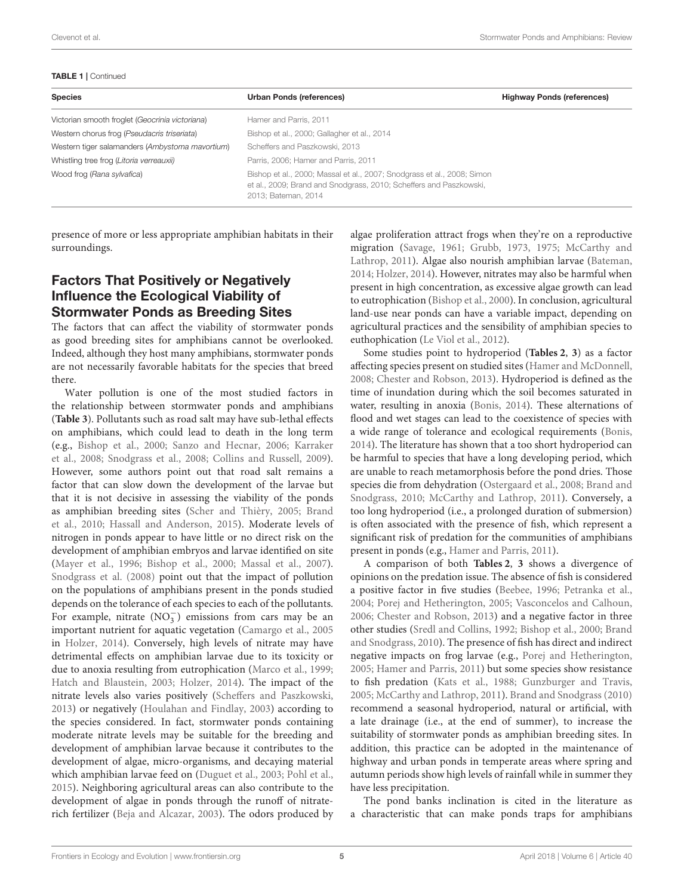#### TABLE 1 | Continued

| <b>Species</b>                                  | <b>Urban Ponds (references)</b>                                                                                                                                      | <b>Highway Ponds (references)</b> |
|-------------------------------------------------|----------------------------------------------------------------------------------------------------------------------------------------------------------------------|-----------------------------------|
| Victorian smooth froglet (Geocrinia victoriana) | Hamer and Parris, 2011                                                                                                                                               |                                   |
| Western chorus frog (Pseudacris triseriata)     | Bishop et al., 2000; Gallagher et al., 2014                                                                                                                          |                                   |
| Western tiger salamanders (Ambystoma mavortium) | Scheffers and Paszkowski, 2013                                                                                                                                       |                                   |
| Whistling tree frog (Litoria verreauxii)        | Parris, 2006; Hamer and Parris, 2011                                                                                                                                 |                                   |
| Wood frog (Rana sylvafica)                      | Bishop et al., 2000; Massal et al., 2007; Snodgrass et al., 2008; Simon<br>et al., 2009; Brand and Snodgrass, 2010; Scheffers and Paszkowski,<br>2013; Bateman, 2014 |                                   |

presence of more or less appropriate amphibian habitats in their surroundings.

## Factors That Positively or Negatively Influence the Ecological Viability of Stormwater Ponds as Breeding Sites

The factors that can affect the viability of stormwater ponds as good breeding sites for amphibians cannot be overlooked. Indeed, although they host many amphibians, stormwater ponds are not necessarily favorable habitats for the species that breed there.

Water pollution is one of the most studied factors in the relationship between stormwater ponds and amphibians (**[Table 3](#page-7-0)**). Pollutants such as road salt may have sub-lethal effects on amphibians, which could lead to death in the long term (e.g., [Bishop et al., 2000;](#page-9-1) [Sanzo and Hecnar, 2006;](#page-11-15) Karraker et al., [2008;](#page-10-18) [Snodgrass et al., 2008;](#page-11-14) [Collins and Russell, 2009\)](#page-9-15). However, some authors point out that road salt remains a factor that can slow down the development of the larvae but that it is not decisive in assessing the viability of the ponds as amphibian breeding sites [\(Scher and Thièry, 2005;](#page-11-12) Brand et al., [2010;](#page-9-16) [Hassall and Anderson, 2015\)](#page-10-9). Moderate levels of nitrogen in ponds appear to have little or no direct risk on the development of amphibian embryos and larvae identified on site [\(Mayer et al., 1996;](#page-10-19) [Bishop et al., 2000;](#page-9-1) [Massal et al., 2007\)](#page-10-16). [Snodgrass et al. \(2008\)](#page-11-14) point out that the impact of pollution on the populations of amphibians present in the ponds studied depends on the tolerance of each species to each of the pollutants. For example, nitrate  $(NO<sub>3</sub><sup>-</sup>)$  emissions from cars may be an important nutrient for aquatic vegetation [\(Camargo et al., 2005](#page-9-17) in [Holzer, 2014\)](#page-10-6). Conversely, high levels of nitrate may have detrimental effects on amphibian larvae due to its toxicity or due to anoxia resulting from eutrophication [\(Marco et al., 1999;](#page-10-20) [Hatch and Blaustein, 2003;](#page-10-21) [Holzer, 2014\)](#page-10-6). The impact of the nitrate levels also varies positively [\(Scheffers and Paszkowski,](#page-11-5) [2013\)](#page-11-5) or negatively [\(Houlahan and Findlay, 2003\)](#page-10-11) according to the species considered. In fact, stormwater ponds containing moderate nitrate levels may be suitable for the breeding and development of amphibian larvae because it contributes to the development of algae, micro-organisms, and decaying material which amphibian larvae feed on [\(Duguet et al., 2003;](#page-10-22) [Pohl et al.,](#page-11-4) [2015\)](#page-11-4). Neighboring agricultural areas can also contribute to the development of algae in ponds through the runoff of nitraterich fertilizer [\(Beja and Alcazar, 2003\)](#page-9-14). The odors produced by algae proliferation attract frogs when they're on a reproductive migration [\(Savage, 1961;](#page-11-16) [Grubb, 1973,](#page-10-23) [1975;](#page-10-24) McCarthy and Lathrop, [2011\)](#page-10-2). Algae also nourish amphibian larvae [\(Bateman,](#page-9-4) [2014;](#page-9-4) [Holzer, 2014\)](#page-10-6). However, nitrates may also be harmful when present in high concentration, as excessive algae growth can lead to eutrophication [\(Bishop et al., 2000\)](#page-9-1). In conclusion, agricultural land-use near ponds can have a variable impact, depending on agricultural practices and the sensibility of amphibian species to euthophication [\(Le Viol et al., 2012\)](#page-10-1).

Some studies point to hydroperiod (**[Tables 2](#page-6-0)**, **[3](#page-7-0)**) as a factor affecting species present on studied sites [\(Hamer and McDonnell,](#page-10-15) [2008;](#page-10-15) [Chester and Robson, 2013\)](#page-9-18). Hydroperiod is defined as the time of inundation during which the soil becomes saturated in water, resulting in anoxia [\(Bonis, 2014\)](#page-9-19). These alternations of flood and wet stages can lead to the coexistence of species with a wide range of tolerance and ecological requirements [\(Bonis,](#page-9-19) [2014\)](#page-9-19). The literature has shown that a too short hydroperiod can be harmful to species that have a long developing period, which are unable to reach metamorphosis before the pond dries. Those species die from dehydration [\(Ostergaard et al., 2008;](#page-11-17) Brand and Snodgrass, [2010;](#page-9-2) [McCarthy and Lathrop, 2011\)](#page-10-2). Conversely, a too long hydroperiod (i.e., a prolonged duration of submersion) is often associated with the presence of fish, which represent a significant risk of predation for the communities of amphibians present in ponds (e.g., [Hamer and Parris, 2011\)](#page-10-17).

A comparison of both **[Tables 2](#page-6-0)**, **[3](#page-7-0)** shows a divergence of opinions on the predation issue. The absence of fish is considered a positive factor in five studies [\(Beebee, 1996;](#page-9-20) [Petranka et al.,](#page-11-18) [2004;](#page-11-18) [Porej and Hetherington, 2005;](#page-11-19) [Vasconcelos and Calhoun,](#page-12-2) [2006;](#page-12-2) [Chester and Robson, 2013\)](#page-9-18) and a negative factor in three other studies [\(Sredl and Collins, 1992;](#page-11-20) [Bishop et al., 2000;](#page-9-1) Brand and Snodgrass, [2010\)](#page-9-2). The presence of fish has direct and indirect negative impacts on frog larvae (e.g., [Porej and Hetherington,](#page-11-19) [2005;](#page-11-19) [Hamer and Parris, 2011\)](#page-10-17) but some species show resistance to fish predation [\(Kats et al., 1988;](#page-10-25) [Gunzburger and Travis,](#page-10-26) [2005;](#page-10-26) [McCarthy and Lathrop, 2011\)](#page-10-2). [Brand and Snodgrass \(2010\)](#page-9-2) recommend a seasonal hydroperiod, natural or artificial, with a late drainage (i.e., at the end of summer), to increase the suitability of stormwater ponds as amphibian breeding sites. In addition, this practice can be adopted in the maintenance of highway and urban ponds in temperate areas where spring and autumn periods show high levels of rainfall while in summer they have less precipitation.

The pond banks inclination is cited in the literature as a characteristic that can make ponds traps for amphibians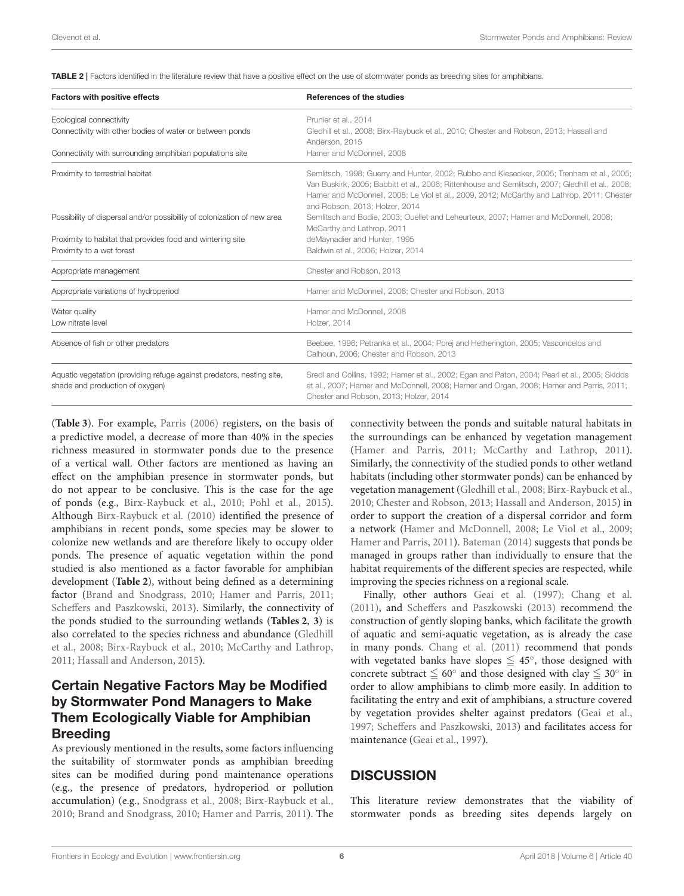<span id="page-6-0"></span>TABLE 2 | Factors identified in the literature review that have a positive effect on the use of stormwater ponds as breeding sites for amphibians.

| <b>Factors with positive effects</b>                                                                     | References of the studies                                                                                                                                                                                                                                                                                                      |
|----------------------------------------------------------------------------------------------------------|--------------------------------------------------------------------------------------------------------------------------------------------------------------------------------------------------------------------------------------------------------------------------------------------------------------------------------|
| Ecological connectivity                                                                                  | Prunier et al., 2014                                                                                                                                                                                                                                                                                                           |
| Connectivity with other bodies of water or between ponds                                                 | Gledhill et al., 2008; Birx-Raybuck et al., 2010; Chester and Robson, 2013; Hassall and<br>Anderson, 2015                                                                                                                                                                                                                      |
| Connectivity with surrounding amphibian populations site                                                 | Hamer and McDonnell, 2008                                                                                                                                                                                                                                                                                                      |
| Proximity to terrestrial habitat                                                                         | Semlitsch, 1998; Guerry and Hunter, 2002; Rubbo and Kiesecker, 2005; Trenham et al., 2005;<br>Van Buskirk, 2005; Babbitt et al., 2006; Rittenhouse and Semlitsch, 2007; Gledhill et al., 2008;<br>Hamer and McDonnell, 2008; Le Viol et al., 2009, 2012; McCarthy and Lathrop, 2011; Chester<br>and Robson, 2013; Holzer, 2014 |
| Possibility of dispersal and/or possibility of colonization of new area                                  | Semlitsch and Bodie, 2003; Ouellet and Leheurteux, 2007; Hamer and McDonnell, 2008;<br>McCarthy and Lathrop, 2011                                                                                                                                                                                                              |
| Proximity to habitat that provides food and wintering site                                               | deMaynadier and Hunter, 1995                                                                                                                                                                                                                                                                                                   |
| Proximity to a wet forest                                                                                | Baldwin et al., 2006; Holzer, 2014                                                                                                                                                                                                                                                                                             |
| Appropriate management                                                                                   | Chester and Robson, 2013                                                                                                                                                                                                                                                                                                       |
| Appropriate variations of hydroperiod                                                                    | Hamer and McDonnell, 2008; Chester and Robson, 2013                                                                                                                                                                                                                                                                            |
| Water quality                                                                                            | Hamer and McDonnell, 2008                                                                                                                                                                                                                                                                                                      |
| Low nitrate level                                                                                        | Holzer, 2014                                                                                                                                                                                                                                                                                                                   |
| Absence of fish or other predators                                                                       | Beebee, 1996; Petranka et al., 2004; Porej and Hetherington, 2005; Vasconcelos and<br>Calhoun, 2006; Chester and Robson, 2013                                                                                                                                                                                                  |
| Aquatic vegetation (providing refuge against predators, nesting site,<br>shade and production of oxygen) | Sredl and Collins, 1992; Hamer et al., 2002; Egan and Paton, 2004; Pearl et al., 2005; Skidds<br>et al., 2007; Hamer and McDonnell, 2008; Hamer and Organ, 2008; Hamer and Parris, 2011;<br>Chester and Robson, 2013; Holzer, 2014                                                                                             |

(**[Table 3](#page-7-0)**). For example, [Parris \(2006\)](#page-11-13) registers, on the basis of a predictive model, a decrease of more than 40% in the species richness measured in stormwater ponds due to the presence of a vertical wall. Other factors are mentioned as having an effect on the amphibian presence in stormwater ponds, but do not appear to be conclusive. This is the case for the age of ponds (e.g., [Birx-Raybuck et al., 2010;](#page-9-13) [Pohl et al., 2015\)](#page-11-4). Although [Birx-Raybuck et al. \(2010\)](#page-9-13) identified the presence of amphibians in recent ponds, some species may be slower to colonize new wetlands and are therefore likely to occupy older ponds. The presence of aquatic vegetation within the pond studied is also mentioned as a factor favorable for amphibian development (**[Table 2](#page-6-0)**), without being defined as a determining factor [\(Brand and Snodgrass, 2010;](#page-9-2) [Hamer and Parris, 2011;](#page-10-17) [Scheffers and Paszkowski, 2013\)](#page-11-5). Similarly, the connectivity of the ponds studied to the surrounding wetlands (**[Tables 2](#page-6-0)**, **[3](#page-7-0)**) is also correlated to the species richness and abundance (Gledhill et al., [2008;](#page-10-5) [Birx-Raybuck et al., 2010;](#page-9-13) [McCarthy and Lathrop,](#page-10-2) [2011;](#page-10-2) [Hassall and Anderson, 2015\)](#page-10-9).

#### Certain Negative Factors May be Modified by Stormwater Pond Managers to Make Them Ecologically Viable for Amphibian Breeding

As previously mentioned in the results, some factors influencing the suitability of stormwater ponds as amphibian breeding sites can be modified during pond maintenance operations (e.g., the presence of predators, hydroperiod or pollution accumulation) (e.g., [Snodgrass et al., 2008;](#page-11-14) [Birx-Raybuck et al.,](#page-9-13) [2010;](#page-9-13) [Brand and Snodgrass, 2010;](#page-9-2) [Hamer and Parris, 2011\)](#page-10-17). The connectivity between the ponds and suitable natural habitats in the surroundings can be enhanced by vegetation management [\(Hamer and Parris, 2011;](#page-10-17) [McCarthy and Lathrop, 2011\)](#page-10-2). Similarly, the connectivity of the studied ponds to other wetland habitats (including other stormwater ponds) can be enhanced by vegetation management [\(Gledhill et al., 2008;](#page-10-5) [Birx-Raybuck et al.,](#page-9-13) [2010;](#page-9-13) [Chester and Robson, 2013;](#page-9-18) [Hassall and Anderson, 2015\)](#page-10-9) in order to support the creation of a dispersal corridor and form a network [\(Hamer and McDonnell, 2008;](#page-10-15) [Le Viol et al., 2009;](#page-10-0) [Hamer and Parris, 2011\)](#page-10-17). [Bateman \(2014\)](#page-9-4) suggests that ponds be managed in groups rather than individually to ensure that the habitat requirements of the different species are respected, while improving the species richness on a regional scale.

Finally, other authors [Geai et al. \(1997\)](#page-10-4); [Chang et al.](#page-9-23) [\(2011\)](#page-9-23), and [Scheffers and Paszkowski \(2013\)](#page-11-5) recommend the construction of gently sloping banks, which facilitate the growth of aquatic and semi-aquatic vegetation, as is already the case in many ponds. [Chang et al. \(2011\)](#page-9-23) recommend that ponds with vegetated banks have slopes  $\leq 45^{\circ}$ , those designed with concrete subtract  $\leq 60^\circ$  and those designed with clay  $\leq 30^\circ$  in order to allow amphibians to climb more easily. In addition to facilitating the entry and exit of amphibians, a structure covered by vegetation provides shelter against predators [\(Geai et al.,](#page-10-4) [1997;](#page-10-4) [Scheffers and Paszkowski, 2013\)](#page-11-5) and facilitates access for maintenance [\(Geai et al., 1997\)](#page-10-4).

#### **DISCUSSION**

This literature review demonstrates that the viability of stormwater ponds as breeding sites depends largely on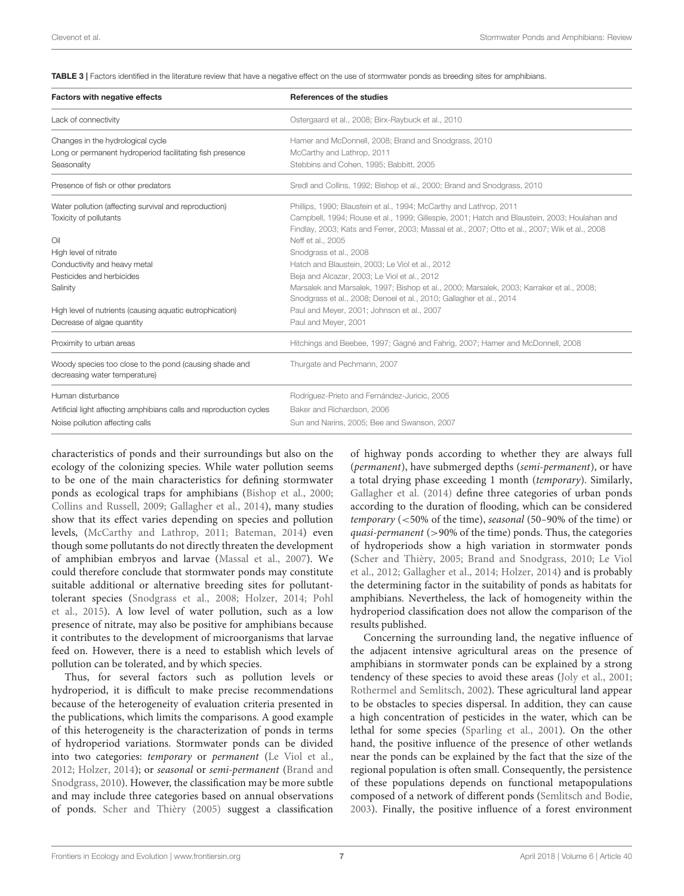<span id="page-7-0"></span>TABLE 3 | Factors identified in the literature review that have a negative effect on the use of stormwater ponds as breeding sites for amphibians.

| Factors with negative effects                                                                                | References of the studies                                                                                                                                                                                                                                            |
|--------------------------------------------------------------------------------------------------------------|----------------------------------------------------------------------------------------------------------------------------------------------------------------------------------------------------------------------------------------------------------------------|
| Lack of connectivity                                                                                         | Ostergaard et al., 2008; Birx-Raybuck et al., 2010                                                                                                                                                                                                                   |
| Changes in the hydrological cycle<br>Long or permanent hydroperiod facilitating fish presence<br>Seasonality | Hamer and McDonnell, 2008; Brand and Snodgrass, 2010<br>McCarthy and Lathrop, 2011<br>Stebbins and Cohen, 1995; Babbitt, 2005                                                                                                                                        |
| Presence of fish or other predators                                                                          | Sredl and Collins, 1992; Bishop et al., 2000; Brand and Snodgrass, 2010                                                                                                                                                                                              |
| Water pollution (affecting survival and reproduction)<br>Toxicity of pollutants                              | Phillips, 1990; Blaustein et al., 1994; McCarthy and Lathrop, 2011<br>Campbell, 1994; Rouse et al., 1999; Gillespie, 2001; Hatch and Blaustein, 2003; Houlahan and<br>Findlay, 2003; Kats and Ferrer, 2003; Massal et al., 2007; Otto et al., 2007; Wik et al., 2008 |
| Oil<br>High level of nitrate                                                                                 | Neff et al., 2005<br>Snodgrass et al., 2008                                                                                                                                                                                                                          |
| Conductivity and heavy metal<br>Pesticides and herbicides                                                    | Hatch and Blaustein, 2003; Le Viol et al., 2012<br>Beja and Alcazar, 2003; Le Viol et al., 2012                                                                                                                                                                      |
| Salinity                                                                                                     | Marsalek and Marsalek, 1997; Bishop et al., 2000; Marsalek, 2003; Karraker et al., 2008;<br>Snodgrass et al., 2008; Denoel et al., 2010; Gallagher et al., 2014                                                                                                      |
| High level of nutrients (causing aquatic eutrophication)<br>Decrease of algae quantity                       | Paul and Meyer, 2001; Johnson et al., 2007<br>Paul and Meyer, 2001                                                                                                                                                                                                   |
| Proximity to urban areas                                                                                     | Hitchings and Beebee, 1997; Gagné and Fahrig, 2007; Hamer and McDonnell, 2008                                                                                                                                                                                        |
| Woody species too close to the pond (causing shade and<br>decreasing water temperature)                      | Thurgate and Pechmann, 2007                                                                                                                                                                                                                                          |
| Human disturbance                                                                                            | Rodríguez-Prieto and Fernández-Juricic, 2005                                                                                                                                                                                                                         |
| Artificial light affecting amphibians calls and reproduction cycles<br>Noise pollution affecting calls       | Baker and Richardson, 2006<br>Sun and Narins, 2005; Bee and Swanson, 2007                                                                                                                                                                                            |

characteristics of ponds and their surroundings but also on the ecology of the colonizing species. While water pollution seems to be one of the main characteristics for defining stormwater ponds as ecological traps for amphibians [\(Bishop et al., 2000;](#page-9-1) [Collins and Russell, 2009;](#page-9-15) [Gallagher et al., 2014\)](#page-10-7), many studies show that its effect varies depending on species and pollution levels, [\(McCarthy and Lathrop, 2011;](#page-10-2) [Bateman, 2014\)](#page-9-4) even though some pollutants do not directly threaten the development of amphibian embryos and larvae [\(Massal et al., 2007\)](#page-10-16). We could therefore conclude that stormwater ponds may constitute suitable additional or alternative breeding sites for pollutanttolerant species [\(Snodgrass et al., 2008;](#page-11-14) [Holzer, 2014;](#page-10-6) Pohl et al., [2015\)](#page-11-4). A low level of water pollution, such as a low presence of nitrate, may also be positive for amphibians because it contributes to the development of microorganisms that larvae feed on. However, there is a need to establish which levels of pollution can be tolerated, and by which species.

Thus, for several factors such as pollution levels or hydroperiod, it is difficult to make precise recommendations because of the heterogeneity of evaluation criteria presented in the publications, which limits the comparisons. A good example of this heterogeneity is the characterization of ponds in terms of hydroperiod variations. Stormwater ponds can be divided into two categories: temporary or permanent [\(Le Viol et al.,](#page-10-1) [2012;](#page-10-1) [Holzer, 2014\)](#page-10-6); or seasonal or semi-permanent (Brand and Snodgrass, [2010\)](#page-9-2). However, the classification may be more subtle and may include three categories based on annual observations of ponds. [Scher and Thièry \(2005\)](#page-11-12) suggest a classification of highway ponds according to whether they are always full (permanent), have submerged depths (semi-permanent), or have a total drying phase exceeding 1 month (temporary). Similarly, [Gallagher et al. \(2014\)](#page-10-7) define three categories of urban ponds according to the duration of flooding, which can be considered temporary (<50% of the time), seasonal (50–90% of the time) or quasi-permanent (>90% of the time) ponds. Thus, the categories of hydroperiods show a high variation in stormwater ponds [\(Scher and Thièry, 2005;](#page-11-12) [Brand and Snodgrass, 2010;](#page-9-2) Le Viol et al., [2012;](#page-10-1) [Gallagher et al., 2014;](#page-10-7) [Holzer, 2014\)](#page-10-6) and is probably the determining factor in the suitability of ponds as habitats for amphibians. Nevertheless, the lack of homogeneity within the hydroperiod classification does not allow the comparison of the results published.

Concerning the surrounding land, the negative influence of the adjacent intensive agricultural areas on the presence of amphibians in stormwater ponds can be explained by a strong tendency of these species to avoid these areas [\(Joly et al., 2001;](#page-10-38) [Rothermel and Semlitsch, 2002\)](#page-11-36). These agricultural land appear to be obstacles to species dispersal. In addition, they can cause a high concentration of pesticides in the water, which can be lethal for some species [\(Sparling et al., 2001\)](#page-11-37). On the other hand, the positive influence of the presence of other wetlands near the ponds can be explained by the fact that the size of the regional population is often small. Consequently, the persistence of these populations depends on functional metapopulations composed of a network of different ponds [\(Semlitsch and Bodie,](#page-11-10) [2003\)](#page-11-10). Finally, the positive influence of a forest environment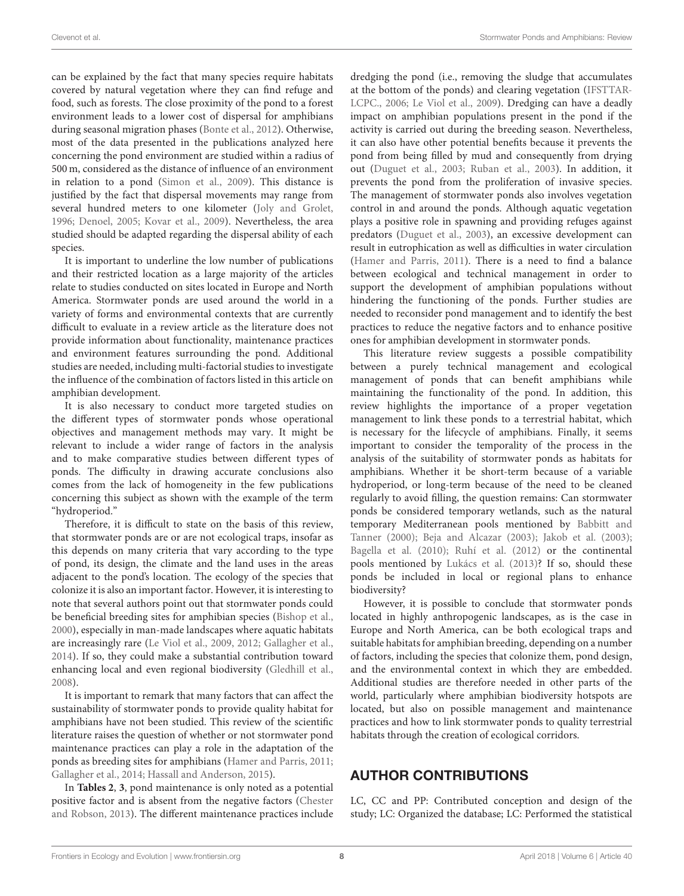can be explained by the fact that many species require habitats covered by natural vegetation where they can find refuge and food, such as forests. The close proximity of the pond to a forest environment leads to a lower cost of dispersal for amphibians during seasonal migration phases [\(Bonte et al., 2012\)](#page-9-29). Otherwise, most of the data presented in the publications analyzed here concerning the pond environment are studied within a radius of 500 m, considered as the distance of influence of an environment in relation to a pond [\(Simon et al., 2009\)](#page-11-1). This distance is justified by the fact that dispersal movements may range from several hundred meters to one kilometer [\(Joly and Grolet,](#page-10-39) [1996;](#page-10-39) [Denoel, 2005;](#page-9-30) [Kovar et al., 2009\)](#page-10-40). Nevertheless, the area studied should be adapted regarding the dispersal ability of each species.

It is important to underline the low number of publications and their restricted location as a large majority of the articles relate to studies conducted on sites located in Europe and North America. Stormwater ponds are used around the world in a variety of forms and environmental contexts that are currently difficult to evaluate in a review article as the literature does not provide information about functionality, maintenance practices and environment features surrounding the pond. Additional studies are needed, including multi-factorial studies to investigate the influence of the combination of factors listed in this article on amphibian development.

It is also necessary to conduct more targeted studies on the different types of stormwater ponds whose operational objectives and management methods may vary. It might be relevant to include a wider range of factors in the analysis and to make comparative studies between different types of ponds. The difficulty in drawing accurate conclusions also comes from the lack of homogeneity in the few publications concerning this subject as shown with the example of the term "hydroperiod."

Therefore, it is difficult to state on the basis of this review, that stormwater ponds are or are not ecological traps, insofar as this depends on many criteria that vary according to the type of pond, its design, the climate and the land uses in the areas adjacent to the pond's location. The ecology of the species that colonize it is also an important factor. However, it is interesting to note that several authors point out that stormwater ponds could be beneficial breeding sites for amphibian species [\(Bishop et al.,](#page-9-1) [2000\)](#page-9-1), especially in man-made landscapes where aquatic habitats are increasingly rare [\(Le Viol et al., 2009,](#page-10-0) [2012;](#page-10-1) [Gallagher et al.,](#page-10-7) [2014\)](#page-10-7). If so, they could make a substantial contribution toward enhancing local and even regional biodiversity [\(Gledhill et al.,](#page-10-5) [2008\)](#page-10-5).

It is important to remark that many factors that can affect the sustainability of stormwater ponds to provide quality habitat for amphibians have not been studied. This review of the scientific literature raises the question of whether or not stormwater pond maintenance practices can play a role in the adaptation of the ponds as breeding sites for amphibians [\(Hamer and Parris, 2011;](#page-10-17) [Gallagher et al., 2014;](#page-10-7) [Hassall and Anderson, 2015\)](#page-10-9).

In **[Tables 2](#page-6-0)**, **[3](#page-7-0)**, pond maintenance is only noted as a potential positive factor and is absent from the negative factors (Chester and Robson, [2013\)](#page-9-18). The different maintenance practices include dredging the pond (i.e., removing the sludge that accumulates at the bottom of the ponds) and clearing vegetation (IFSTTAR-LCPC., [2006;](#page-10-41) [Le Viol et al., 2009\)](#page-10-0). Dredging can have a deadly impact on amphibian populations present in the pond if the activity is carried out during the breeding season. Nevertheless, it can also have other potential benefits because it prevents the pond from being filled by mud and consequently from drying out [\(Duguet et al., 2003;](#page-10-22) [Ruban et al., 2003\)](#page-11-38). In addition, it prevents the pond from the proliferation of invasive species. The management of stormwater ponds also involves vegetation control in and around the ponds. Although aquatic vegetation plays a positive role in spawning and providing refuges against predators [\(Duguet et al., 2003\)](#page-10-22), an excessive development can result in eutrophication as well as difficulties in water circulation [\(Hamer and Parris, 2011\)](#page-10-17). There is a need to find a balance between ecological and technical management in order to support the development of amphibian populations without hindering the functioning of the ponds. Further studies are needed to reconsider pond management and to identify the best practices to reduce the negative factors and to enhance positive ones for amphibian development in stormwater ponds.

This literature review suggests a possible compatibility between a purely technical management and ecological management of ponds that can benefit amphibians while maintaining the functionality of the pond. In addition, this review highlights the importance of a proper vegetation management to link these ponds to a terrestrial habitat, which is necessary for the lifecycle of amphibians. Finally, it seems important to consider the temporality of the process in the analysis of the suitability of stormwater ponds as habitats for amphibians. Whether it be short-term because of a variable hydroperiod, or long-term because of the need to be cleaned regularly to avoid filling, the question remains: Can stormwater ponds be considered temporary wetlands, such as the natural temporary Mediterranean pools mentioned by Babbitt and Tanner [\(2000\)](#page-9-31); [Beja and Alcazar \(2003\)](#page-9-14); [Jakob et al. \(2003\)](#page-10-42); [Bagella et al. \(2010\)](#page-9-32); [Ruhí et al. \(2012\)](#page-11-39) or the continental pools mentioned by [Lukács et al. \(2013\)](#page-10-43)? If so, should these ponds be included in local or regional plans to enhance biodiversity?

However, it is possible to conclude that stormwater ponds located in highly anthropogenic landscapes, as is the case in Europe and North America, can be both ecological traps and suitable habitats for amphibian breeding, depending on a number of factors, including the species that colonize them, pond design, and the environmental context in which they are embedded. Additional studies are therefore needed in other parts of the world, particularly where amphibian biodiversity hotspots are located, but also on possible management and maintenance practices and how to link stormwater ponds to quality terrestrial habitats through the creation of ecological corridors.

## AUTHOR CONTRIBUTIONS

LC, CC and PP: Contributed conception and design of the study; LC: Organized the database; LC: Performed the statistical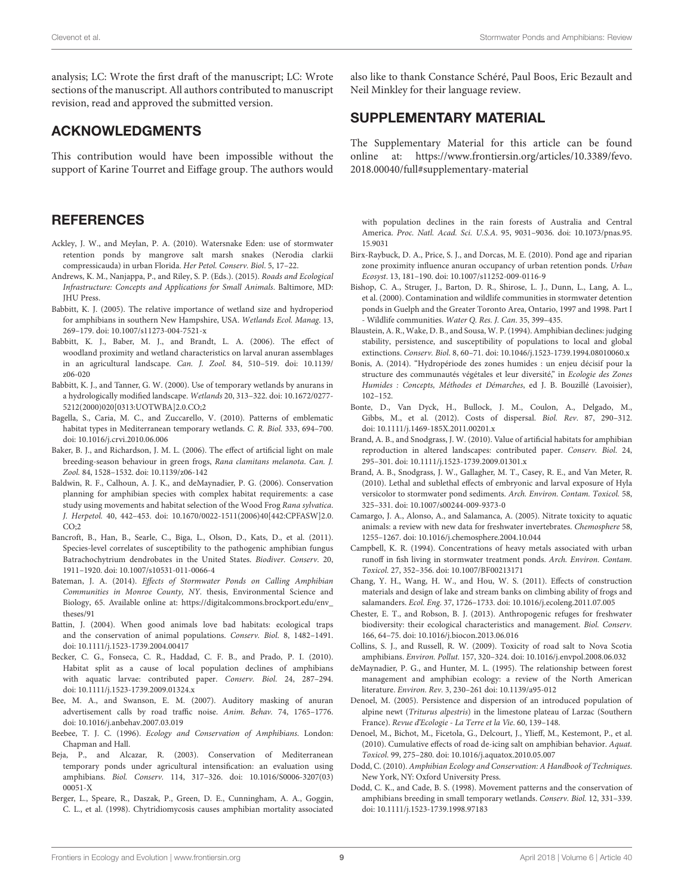analysis; LC: Wrote the first draft of the manuscript; LC: Wrote sections of the manuscript. All authors contributed to manuscript revision, read and approved the submitted version.

#### ACKNOWLEDGMENTS

This contribution would have been impossible without the support of Karine Tourret and Eiffage group. The authors would

#### **REFERENCES**

- <span id="page-9-3"></span>Ackley, J. W., and Meylan, P. A. (2010). Watersnake Eden: use of stormwater retention ponds by mangrove salt marsh snakes (Nerodia clarkii compressicauda) in urban Florida. Her Petol. Conserv. Biol. 5, 17–22.
- <span id="page-9-0"></span>Andrews, K. M., Nanjappa, P., and Riley, S. P. (Eds.). (2015). Roads and Ecological Infrastructure: Concepts and Applications for Small Animals. Baltimore, MD: JHU Press.
- <span id="page-9-24"></span>Babbitt, K. J. (2005). The relative importance of wetland size and hydroperiod for amphibians in southern New Hampshire, USA. Wetlands Ecol. Manag. 13, 269–179. doi: [10.1007/s11273-004-7521-x](https://doi.org/10.1007/s11273-004-7521-x)
- <span id="page-9-21"></span>Babbitt, K. J., Baber, M. J., and Brandt, L. A. (2006). The effect of woodland proximity and wetland characteristics on larval anuran assemblages [in an agricultural landscape.](https://doi.org/10.1139/z06-020) Can. J. Zool. 84, 510–519. doi: 10.1139/ z06-020
- <span id="page-9-31"></span>Babbitt, K. J., and Tanner, G. W. (2000). Use of temporary wetlands by anurans in a hydrologically modified landscape. Wetlands 20, 313–322. doi: 10.1672/0277- [5212\(2000\)020\[0313:UOTWBA\]2.0.CO;2](https://doi.org/10.1672/0277-5212(2000)020[0313:UOTWBA]2.0.CO;2)
- <span id="page-9-32"></span>Bagella, S., Caria, M. C., and Zuccarello, V. (2010). Patterns of emblematic habitat types in Mediterranean temporary wetlands. C. R. Biol. 333, 694–700. doi: [10.1016/j.crvi.2010.06.006](https://doi.org/10.1016/j.crvi.2010.06.006)
- <span id="page-9-27"></span>Baker, B. J., and Richardson, J. M. L. (2006). The effect of artificial light on male breeding-season behaviour in green frogs, Rana clamitans melanota. Can. J. Zool. 84, 1528–1532. doi: [10.1139/z06-142](https://doi.org/10.1139/z06-142)
- <span id="page-9-22"></span>Baldwin, R. F., Calhoun, A. J. K., and deMaynadier, P. G. (2006). Conservation planning for amphibian species with complex habitat requirements: a case study using movements and habitat selection of the Wood Frog Rana sylvatica. J. Herpetol. [40, 442–453. doi: 10.1670/0022-1511\(2006\)40\[442:CPFASW\]2.0.](https://doi.org/10.1670/0022-1511(2006)40[442:CPFASW]2.0.CO)  $CO:2$
- <span id="page-9-10"></span>Bancroft, B., Han, B., Searle, C., Biga, L., Olson, D., Kats, D., et al. (2011). Species-level correlates of susceptibility to the pathogenic amphibian fungus Batrachochytrium dendrobates in the United States. Biodiver. Conserv. 20, 1911–1920. doi: [10.1007/s10531-011-0066-4](https://doi.org/10.1007/s10531-011-0066-4)
- <span id="page-9-4"></span>Bateman, J. A. (2014). Effects of Stormwater Ponds on Calling Amphibian Communities in Monroe County, NY. thesis, Environmental Science and Biology, 65. Available online at: [https://digitalcommons.brockport.edu/env\\_](https://digitalcommons.brockport.edu/env_theses/91) [theses/91](https://digitalcommons.brockport.edu/env_theses/91)
- <span id="page-9-11"></span>Battin, J. (2004). When good animals love bad habitats: ecological traps and the conservation of animal populations. Conserv. Biol. 8, 1482–1491. doi: [10.1111/j.1523-1739.2004.00417](https://doi.org/10.1111/j.1523-1739.2004.00417)
- <span id="page-9-9"></span>Becker, C. G., Fonseca, C. R., Haddad, C. F. B., and Prado, P. I. (2010). Habitat split as a cause of local population declines of amphibians with aquatic larvae: contributed paper. Conserv. Biol. 24, 287–294. doi: [10.1111/j.1523-1739.2009.01324.x](https://doi.org/10.1111/j.1523-1739.2009.01324.x)
- <span id="page-9-28"></span>Bee, M. A., and Swanson, E. M. (2007). Auditory masking of anuran advertisement calls by road traffic noise. Anim. Behav. 74, 1765–1776. doi: [10.1016/j.anbehav.2007.03.019](https://doi.org/10.1016/j.anbehav.2007.03.019)
- <span id="page-9-20"></span>Beebee, T. J. C. (1996). Ecology and Conservation of Amphibians. London: Chapman and Hall.
- <span id="page-9-14"></span>Beja, P., and Alcazar, R. (2003). Conservation of Mediterranean temporary ponds under agricultural intensification: an evaluation using amphibians. Biol. Conserv. [114, 317–326. doi: 10.1016/S0006-3207\(03\)](https://doi.org/10.1016/S0006-3207(03)00051-X) 00051-X
- <span id="page-9-7"></span>Berger, L., Speare, R., Daszak, P., Green, D. E., Cunningham, A. A., Goggin, C. L., et al. (1998). Chytridiomycosis causes amphibian mortality associated

also like to thank Constance Schéré, Paul Boos, Eric Bezault and Neil Minkley for their language review.

#### SUPPLEMENTARY MATERIAL

The Supplementary Material for this article can be found [online at: https://www.frontiersin.org/articles/10.3389/fevo.](https://www.frontiersin.org/articles/10.3389/fevo.2018.00040/full#supplementary-material) 2018.00040/full#supplementary-material

with population declines in the rain forests of Australia and Central America. Proc. Natl. Acad. Sci. U.S.A[. 95, 9031–9036. doi: 10.1073/pnas.95.](https://doi.org/10.1073/pnas.95.15.9031) 15.9031

- <span id="page-9-13"></span>Birx-Raybuck, D. A., Price, S. J., and Dorcas, M. E. (2010). Pond age and riparian zone proximity influence anuran occupancy of urban retention ponds. Urban Ecosyst. 13, 181–190. doi: [10.1007/s11252-009-0116-9](https://doi.org/10.1007/s11252-009-0116-9)
- <span id="page-9-1"></span>Bishop, C. A., Struger, J., Barton, D. R., Shirose, L. J., Dunn, L., Lang, A. L., et al. (2000). Contamination and wildlife communities in stormwater detention ponds in Guelph and the Greater Toronto Area, Ontario, 1997 and 1998. Part I - Wildlife communities. Water Q. Res. J. Can. 35, 399–435.
- <span id="page-9-5"></span>Blaustein, A. R., Wake, D. B., and Sousa, W. P. (1994). Amphibian declines: judging stability, persistence, and susceptibility of populations to local and global extinctions. Conserv. Biol. 8, 60–71. doi: [10.1046/j.1523-1739.1994.08010060.x](https://doi.org/10.1046/j.1523-1739.1994.08010060.x)
- <span id="page-9-19"></span>Bonis, A. (2014). "Hydropériode des zones humides : un enjeu décisif pour la structure des communautés végétales et leur diversité," in Ecologie des Zones Humides : Concepts, Méthodes et Démarches, ed J. B. Bouzillé (Lavoisier), 102–152.
- <span id="page-9-29"></span>Bonte, D., Van Dyck, H., Bullock, J. M., Coulon, A., Delgado, M., Gibbs, M., et al. (2012). Costs of dispersal. Biol. Rev. 87, 290–312. doi: [10.1111/j.1469-185X.2011.00201.x](https://doi.org/10.1111/j.1469-185X.2011.00201.x)
- <span id="page-9-2"></span>Brand, A. B., and Snodgrass, J. W. (2010). Value of artificial habitats for amphibian reproduction in altered landscapes: contributed paper. Conserv. Biol. 24, 295–301. doi: [10.1111/j.1523-1739.2009.01301.x](https://doi.org/10.1111/j.1523-1739.2009.01301.x)
- <span id="page-9-16"></span>Brand, A. B., Snodgrass, J. W., Gallagher, M. T., Casey, R. E., and Van Meter, R. (2010). Lethal and sublethal effects of embryonic and larval exposure of Hyla versicolor to stormwater pond sediments. Arch. Environ. Contam. Toxicol. 58, 325–331. doi: [10.1007/s00244-009-9373-0](https://doi.org/10.1007/s00244-009-9373-0)
- <span id="page-9-17"></span>Camargo, J. A., Alonso, A., and Salamanca, A. (2005). Nitrate toxicity to aquatic animals: a review with new data for freshwater invertebrates. Chemosphere 58, 1255–1267. doi: [10.1016/j.chemosphere.2004.10.044](https://doi.org/10.1016/j.chemosphere.2004.10.044)
- <span id="page-9-25"></span>Campbell, K. R. (1994). Concentrations of heavy metals associated with urban runoff in fish living in stormwater treatment ponds. Arch. Environ. Contam. Toxicol. 27, 352–356. doi: [10.1007/BF00213171](https://doi.org/10.1007/BF00213171)
- <span id="page-9-23"></span>Chang, Y. H., Wang, H. W., and Hou, W. S. (2011). Effects of construction materials and design of lake and stream banks on climbing ability of frogs and salamanders. Ecol. Eng. 37, 1726–1733. doi: [10.1016/j.ecoleng.2011.07.005](https://doi.org/10.1016/j.ecoleng.2011.07.005)
- <span id="page-9-18"></span>Chester, E. T., and Robson, B. J. (2013). Anthropogenic refuges for freshwater biodiversity: their ecological characteristics and management. Biol. Conserv. 166, 64–75. doi: [10.1016/j.biocon.2013.06.016](https://doi.org/10.1016/j.biocon.2013.06.016)
- <span id="page-9-15"></span>Collins, S. J., and Russell, R. W. (2009). Toxicity of road salt to Nova Scotia amphibians. Environ. Pollut. 157, 320–324. doi: [10.1016/j.envpol.2008.06.032](https://doi.org/10.1016/j.envpol.2008.06.032)
- <span id="page-9-12"></span>deMaynadier, P. G., and Hunter, M. L. (1995). The relationship between forest management and amphibian ecology: a review of the North American literature. Environ. Rev. 3, 230–261 doi: [10.1139/a95-012](https://doi.org/10.1139/a95-012)
- <span id="page-9-30"></span>Denoel, M. (2005). Persistence and dispersion of an introduced population of alpine newt (Triturus alpestris) in the limestone plateau of Larzac (Southern France). Revue d'Ecologie - La Terre et la Vie. 60, 139–148.
- <span id="page-9-26"></span>Denoel, M., Bichot, M., Ficetola, G., Delcourt, J., Ylieff, M., Kestemont, P., et al. (2010). Cumulative effects of road de-icing salt on amphibian behavior. Aquat. Toxicol. 99, 275–280. doi: [10.1016/j.aquatox.2010.05.007](https://doi.org/10.1016/j.aquatox.2010.05.007)
- <span id="page-9-6"></span>Dodd, C. (2010). Amphibian Ecology and Conservation: A Handbook of Techniques. New York, NY: Oxford University Press.
- <span id="page-9-8"></span>Dodd, C. K., and Cade, B. S. (1998). Movement patterns and the conservation of amphibians breeding in small temporary wetlands. Conserv. Biol. 12, 331–339. doi: [10.1111/j.1523-1739.1998.97183](https://doi.org/10.1111/j.1523-1739.1998.97183)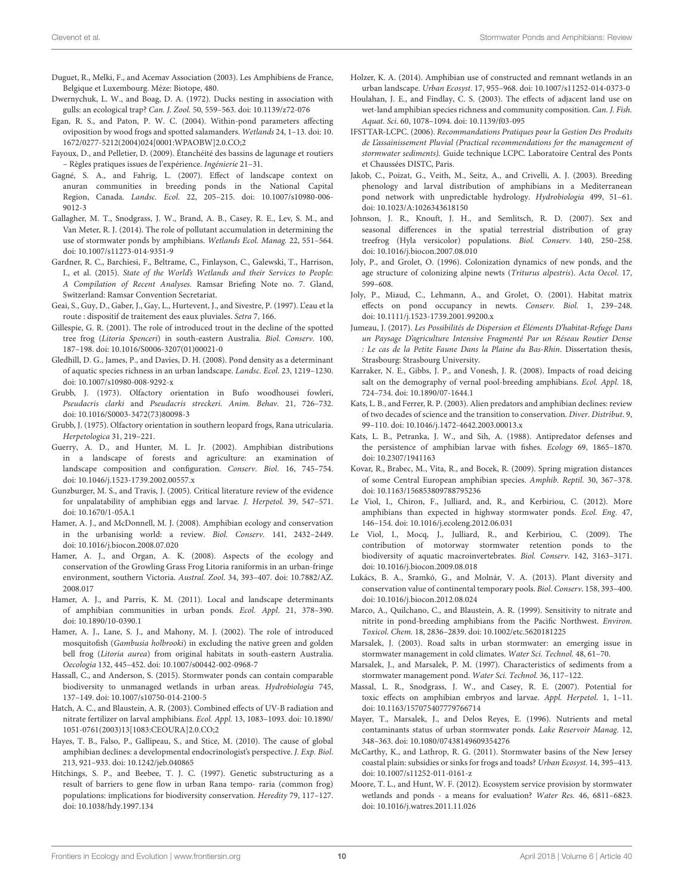- <span id="page-10-22"></span>Duguet, R., Melki, F., and Acemav Association (2003). Les Amphibiens de France, Belgique et Luxembourg. Méze: Biotope, 480.
- <span id="page-10-13"></span>Dwernychuk, L. W., and Boag, D. A. (1972). Ducks nesting in association with gulls: an ecological trap? Can. J. Zool. 50, 559–563. doi: [10.1139/z72-076](https://doi.org/10.1139/z72-076)
- <span id="page-10-29"></span>Egan, R. S., and Paton, P. W. C. (2004). Within-pond parameters affecting oviposition by wood frogs and spotted salamanders. Wetlands 24, 1–13. doi: 10. [1672/0277-5212\(2004\)024\[0001:WPAOBW\]2.0.CO;2](https://doi.org/10.1672/0277-5212(2004)024[0001:WPAOBW]2.0.CO)
- <span id="page-10-3"></span>Fayoux, D., and Pelletier, D. (2009). Étanchéité des bassins de lagunage et routiers – Règles pratiques issues de l'expérience. Ingénierie 21–31.
- <span id="page-10-37"></span>Gagné, S. A., and Fahrig, L. (2007). Effect of landscape context on anuran communities in breeding ponds in the National Capital Region, Canada. Landsc. Ecol. [22, 205–215. doi: 10.1007/s10980-006-](https://doi.org/10.1007/s10980-006-9012-3) 9012-3
- <span id="page-10-7"></span>Gallagher, M. T., Snodgrass, J. W., Brand, A. B., Casey, R. E., Lev, S. M., and Van Meter, R. J. (2014). The role of pollutant accumulation in determining the use of stormwater ponds by amphibians. Wetlands Ecol. Manag. 22, 551–564. doi: [10.1007/s11273-014-9351-9](https://doi.org/10.1007/s11273-014-9351-9)
- <span id="page-10-10"></span>Gardner, R. C., Barchiesi, F., Beltrame, C., Finlayson, C., Galewski, T., Harrison, I., et al. (2015). State of the World's Wetlands and their Services to People: A Compilation of Recent Analyses. Ramsar Briefing Note no. 7. Gland, Switzerland: Ramsar Convention Secretariat.
- <span id="page-10-4"></span>Geai, S., Guy, D., Gaber, J., Gay, L., Hurtevent, J., and Sivestre, P. (1997). L'eau et la route : dispositif de traitement des eaux pluviales. Setra 7, 166.
- <span id="page-10-31"></span>Gillespie, G. R. (2001). The role of introduced trout in the decline of the spotted tree frog (Litoria Spenceri) in south-eastern Australia. Biol. Conserv. 100, 187–198. doi: [10.1016/S0006-3207\(01\)00021-0](https://doi.org/10.1016/S0006-3207(01)00021-0)
- <span id="page-10-5"></span>Gledhill, D. G., James, P., and Davies, D. H. (2008). Pond density as a determinant of aquatic species richness in an urban landscape. Landsc. Ecol. 23, 1219–1230. doi: [10.1007/s10980-008-9292-x](https://doi.org/10.1007/s10980-008-9292-x)
- <span id="page-10-23"></span>Grubb, J. (1973). Olfactory orientation in Bufo woodhousei fowleri, Pseudacris clarki and Pseudacris streckeri. Anim. Behav. 21, 726–732. doi: [10.1016/S0003-3472\(73\)80098-3](https://doi.org/10.1016/S0003-3472(73)80098-3)
- <span id="page-10-24"></span>Grubb, J. (1975). Olfactory orientation in southern leopard frogs, Rana utricularia. Herpetologica 31, 219–221.
- <span id="page-10-27"></span>Guerry, A. D., and Hunter, M. L. Jr. (2002). Amphibian distributions in a landscape of forests and agriculture: an examination of landscape composition and configuration. Conserv. Biol. 16, 745–754. doi: [10.1046/j.1523-1739.2002.00557.x](https://doi.org/10.1046/j.1523-1739.2002.00557.x)
- <span id="page-10-26"></span>Gunzburger, M. S., and Travis, J. (2005). Critical literature review of the evidence for unpalatability of amphibian eggs and larvae. J. Herpetol. 39, 547–571. doi: [10.1670/1-05A.1](https://doi.org/10.1670/1-05A.1)
- <span id="page-10-15"></span>Hamer, A. J., and McDonnell, M. J. (2008). Amphibian ecology and conservation in the urbanising world: a review. Biol. Conserv. 141, 2432–2449. doi: [10.1016/j.biocon.2008.07.020](https://doi.org/10.1016/j.biocon.2008.07.020)
- <span id="page-10-30"></span>Hamer, A. J., and Organ, A. K. (2008). Aspects of the ecology and conservation of the Growling Grass Frog Litoria raniformis in an urban-fringe [environment, southern Victoria.](https://doi.org/10.7882/AZ.2008.017) Austral. Zool. 34, 393–407. doi: 10.7882/AZ. 2008.017
- <span id="page-10-17"></span>Hamer, A. J., and Parris, K. M. (2011). Local and landscape determinants of amphibian communities in urban ponds. Ecol. Appl. 21, 378–390. doi: [10.1890/10-0390.1](https://doi.org/10.1890/10-0390.1)
- <span id="page-10-28"></span>Hamer, A. J., Lane, S. J., and Mahony, M. J. (2002). The role of introduced mosquitofish (Gambusia holbrooki) in excluding the native green and golden bell frog (Litoria aurea) from original habitats in south-eastern Australia. Oecologia 132, 445–452. doi: [10.1007/s00442-002-0968-7](https://doi.org/10.1007/s00442-002-0968-7)
- <span id="page-10-9"></span>Hassall, C., and Anderson, S. (2015). Stormwater ponds can contain comparable biodiversity to unmanaged wetlands in urban areas. Hydrobiologia 745, 137–149. doi: [10.1007/s10750-014-2100-5](https://doi.org/10.1007/s10750-014-2100-5)
- <span id="page-10-21"></span>Hatch, A. C., and Blaustein, A. R. (2003). Combined effects of UV-B radiation and nitrate fertilizer on larval amphibians. Ecol. Appl. 13, 1083–1093. doi: 10.1890/ [1051-0761\(2003\)13\[1083:CEOURA\]2.0.CO;2](https://doi.org/10.1890/1051-0761(2003)13[1083:CEOURA]2.0.CO;2)
- <span id="page-10-12"></span>Hayes, T. B., Falso, P., Gallipeau, S., and Stice, M. (2010). The cause of global amphibian declines: a developmental endocrinologist's perspective. J. Exp. Biol. 213, 921–933. doi: [10.1242/jeb.040865](https://doi.org/10.1242/jeb.040865)
- <span id="page-10-36"></span>Hitchings, S. P., and Beebee, T. J. C. (1997). Genetic substructuring as a result of barriers to gene flow in urban Rana tempo- raria (common frog) populations: implications for biodiversity conservation. Heredity 79, 117–127. doi: [10.1038/hdy.1997.134](https://doi.org/10.1038/hdy.1997.134)
- <span id="page-10-6"></span>Holzer, K. A. (2014). Amphibian use of constructed and remnant wetlands in an urban landscape. Urban Ecosyst. 17, 955–968. doi: [10.1007/s11252-014-0373-0](https://doi.org/10.1007/s11252-014-0373-0)
- <span id="page-10-11"></span>Houlahan, J. E., and Findlay, C. S. (2003). The effects of adjacent land use on wet-land amphibian species richness and community composition. Can. J. Fish. Aquat. Sci. 60, 1078–1094. doi: [10.1139/f03-095](https://doi.org/10.1139/f03-095)
- <span id="page-10-41"></span>IFSTTAR-LCPC. (2006). Recommandations Pratiques pour la Gestion Des Produits de L'assainissement Pluvial (Practical recommendations for the management of stormwater sediments). Guide technique LCPC. Laboratoire Central des Ponts et Chaussées DISTC, Paris.
- <span id="page-10-42"></span>Jakob, C., Poizat, G., Veith, M., Seitz, A., and Crivelli, A. J. (2003). Breeding phenology and larval distribution of amphibians in a Mediterranean pond network with unpredictable hydrology. Hydrobiologia 499, 51–61. doi: [10.1023/A:1026343618150](https://doi.org/10.1023/A:1026343618150)
- <span id="page-10-35"></span>Johnson, J. R., Knouft, J. H., and Semlitsch, R. D. (2007). Sex and seasonal differences in the spatial terrestrial distribution of gray treefrog (Hyla versicolor) populations. Biol. Conserv. 140, 250–258. doi: [10.1016/j.biocon.2007.08.010](https://doi.org/10.1016/j.biocon.2007.08.010)
- <span id="page-10-39"></span>Joly, P., and Grolet, O. (1996). Colonization dynamics of new ponds, and the age structure of colonizing alpine newts (Triturus alpestris). Acta Oecol. 17, 599–608.
- <span id="page-10-38"></span>Joly, P., Miaud, C., Lehmann, A., and Grolet, O. (2001). Habitat matrix effects on pond occupancy in newts. Conserv. Biol. 1, 239–248. doi: [10.1111/j.1523-1739.2001.99200.x](https://doi.org/10.1111/j.1523-1739.2001.99200.x)
- <span id="page-10-14"></span>Jumeau, J. (2017). Les Possibilités de Dispersion et Éléments D'habitat-Refuge Dans un Paysage D'agriculture Intensive Fragmenté Par un Réseau Routier Dense : Le cas de la Petite Faune Dans la Plaine du Bas-Rhin. Dissertation thesis, Strasbourg: Strasbourg University.
- <span id="page-10-18"></span>Karraker, N. E., Gibbs, J. P., and Vonesh, J. R. (2008). Impacts of road deicing salt on the demography of vernal pool-breeding amphibians. Ecol. Appl. 18, 724–734. doi: [10.1890/07-1644.1](https://doi.org/10.1890/07-1644.1)
- <span id="page-10-32"></span>Kats, L. B., and Ferrer, R. P. (2003). Alien predators and amphibian declines: review of two decades of science and the transition to conservation. Diver. Distribut. 9, 99–110. doi: [10.1046/j.1472-4642.2003.00013.x](https://doi.org/10.1046/j.1472-4642.2003.00013.x)
- <span id="page-10-25"></span>Kats, L. B., Petranka, J. W., and Sih, A. (1988). Antipredator defenses and the persistence of amphibian larvae with fishes. Ecology 69, 1865–1870. doi: [10.2307/1941163](https://doi.org/10.2307/1941163)
- <span id="page-10-40"></span>Kovar, R., Brabec, M., Vita, R., and Bocek, R. (2009). Spring migration distances of some Central European amphibian species. Amphib. Reptil. 30, 367–378. doi: [10.1163/156853809788795236](https://doi.org/10.1163/156853809788795236)
- <span id="page-10-1"></span>Le Viol, I., Chiron, F., Julliard, and, R., and Kerbiriou, C. (2012). More amphibians than expected in highway stormwater ponds. Ecol. Eng. 47, 146–154. doi: [10.1016/j.ecoleng.2012.06.031](https://doi.org/10.1016/j.ecoleng.2012.06.031)
- <span id="page-10-0"></span>Le Viol, I., Mocq, J., Julliard, R., and Kerbiriou, C. (2009). The contribution of motorway stormwater retention ponds to the biodiversity of aquatic macroinvertebrates. Biol. Conserv. 142, 3163–3171. doi: [10.1016/j.biocon.2009.08.018](https://doi.org/10.1016/j.biocon.2009.08.018)
- <span id="page-10-43"></span>Lukács, B. A., Sramkó, G., and Molnár, V. A. (2013). Plant diversity and conservation value of continental temporary pools. Biol. Conserv. 158, 393–400. doi: [10.1016/j.biocon.2012.08.024](https://doi.org/10.1016/j.biocon.2012.08.024)
- <span id="page-10-20"></span>Marco, A., Quilchano, C., and Blaustein, A. R. (1999). Sensitivity to nitrate and nitrite in pond-breeding amphibians from the Pacific Northwest. Environ. Toxicol. Chem. 18, 2836–2839. doi: [10.1002/etc.5620181225](https://doi.org/10.1002/etc.5620181225)
- <span id="page-10-34"></span>Marsalek, J. (2003). Road salts in urban stormwater: an emerging issue in stormwater management in cold climates. Water Sci. Technol. 48, 61–70.
- <span id="page-10-33"></span>Marsalek, J., and Marsalek, P. M. (1997). Characteristics of sediments from a stormwater management pond. Water Sci. Technol. 36, 117–122.
- <span id="page-10-16"></span>Massal, L. R., Snodgrass, J. W., and Casey, R. E. (2007). Potential for toxic effects on amphibian embryos and larvae. Appl. Herpetol. 1, 1–11. doi: [10.1163/157075407779766714](https://doi.org/10.1163/157075407779766714)
- <span id="page-10-19"></span>Mayer, T., Marsalek, J., and Delos Reyes, E. (1996). Nutrients and metal contaminants status of urban stormwater ponds. Lake Reservoir Manag. 12, 348–363. doi: [10.1080/07438149609354276](https://doi.org/10.1080/07438149609354276)
- <span id="page-10-2"></span>McCarthy, K., and Lathrop, R. G. (2011). Stormwater basins of the New Jersey coastal plain: subsidies or sinks for frogs and toads? Urban Ecosyst. 14, 395–413. doi: [10.1007/s11252-011-0161-z](https://doi.org/10.1007/s11252-011-0161-z)
- <span id="page-10-8"></span>Moore, T. L., and Hunt, W. F. (2012). Ecosystem service provision by stormwater wetlands and ponds - a means for evaluation? Water Res. 46, 6811–6823. doi: [10.1016/j.watres.2011.11.026](https://doi.org/10.1016/j.watres.2011.11.026)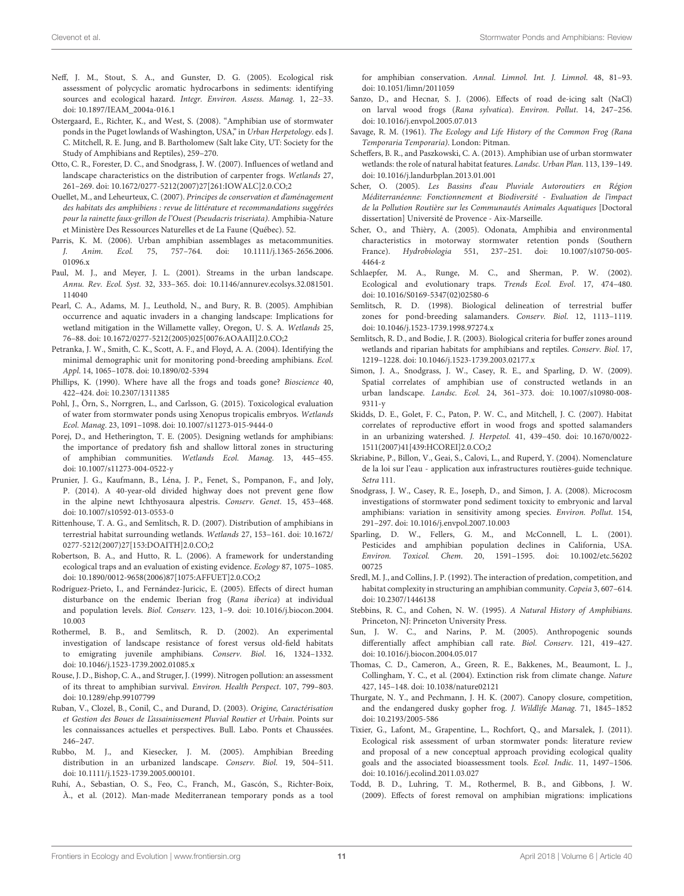- <span id="page-11-31"></span>Neff, J. M., Stout, S. A., and Gunster, D. G. (2005). Ecological risk assessment of polycyclic aromatic hydrocarbons in sediments: identifying sources and ecological hazard. Integr. Environ. Assess. Manag. 1, 22–33. doi: [10.1897/IEAM\\_2004a-016.1](https://doi.org/10.1897/IEAM_2004a-016.1)
- <span id="page-11-17"></span>Ostergaard, E., Richter, K., and West, S. (2008). "Amphibian use of stormwater ponds in the Puget lowlands of Washington, USA," in Urban Herpetology. eds J. C. Mitchell, R. E. Jung, and B. Bartholomew (Salt lake City, UT: Society for the Study of Amphibians and Reptiles), 259–270.
- <span id="page-11-30"></span>Otto, C. R., Forester, D. C., and Snodgrass, J. W. (2007). Influences of wetland and landscape characteristics on the distribution of carpenter frogs. Wetlands 27, 261–269. doi: [10.1672/0277-5212\(2007\)27\[261:IOWALC\]2.0.CO;](https://doi.org/10.1672/0277-5212(2007)27[261:IOWALC]2.0.CO)2
- <span id="page-11-11"></span>Ouellet, M., and Leheurteux, C. (2007). Principes de conservation et d'aménagement des habitats des amphibiens : revue de littérature et recommandations suggérées pour la rainette faux-grillon de l'Ouest (Pseudacris triseriata). Amphibia-Nature et Ministère Des Ressources Naturelles et de La Faune (Québec). 52.
- <span id="page-11-13"></span>Parris, K. M. (2006). Urban amphibian assemblages as metacommunities.<br> *J. Anim. Ecol.* 75, 757-764. doi: 10.1111/j.1365-2656.2006. J. Anim. Ecol. 75, 757-764. doi: 01096.x
- <span id="page-11-32"></span>Paul, M. J., and Meyer, J. L. (2001). Streams in the urban landscape. Annu. Rev. Ecol. Syst. [32, 333–365. doi: 10.1146/annurev.ecolsys.32.081501.](https://doi.org/10.1146/annurev.ecolsys.32.081501.114040) 114040
- <span id="page-11-25"></span>Pearl, C. A., Adams, M. J., Leuthold, N., and Bury, R. B. (2005). Amphibian occurrence and aquatic invaders in a changing landscape: Implications for wetland mitigation in the Willamette valley, Oregon, U. S. A. Wetlands 25, 76–88. doi: [10.1672/0277-5212\(2005\)025\[0076:AOAAII\]2.0.CO;2](https://doi.org/10.1672/0277-5212(2005)025[0076:AOAAII]2.0.CO;2)
- <span id="page-11-18"></span>Petranka, J. W., Smith, C. K., Scott, A. F., and Floyd, A. A. (2004). Identifying the minimal demographic unit for monitoring pond-breeding amphibians. Ecol. Appl. 14, 1065–1078. doi: [10.1890/02-5394](https://doi.org/10.1890/02-5394)
- <span id="page-11-28"></span>Phillips, K. (1990). Where have all the frogs and toads gone? Bioscience 40, 422–424. doi: [10.2307/1311385](https://doi.org/10.2307/1311385)
- <span id="page-11-4"></span>Pohl, J., Örn, S., Norrgren, L., and Carlsson, G. (2015). Toxicological evaluation of water from stormwater ponds using Xenopus tropicalis embryos. Wetlands Ecol. Manag. 23, 1091–1098. doi: [10.1007/s11273-015-9444-0](https://doi.org/10.1007/s11273-015-9444-0)
- <span id="page-11-19"></span>Porej, D., and Hetherington, T. E. (2005). Designing wetlands for amphibians: the importance of predatory fish and shallow littoral zones in structuring of amphibian communities. Wetlands Ecol. Manag. 13, 445–455. doi: [10.1007/s11273-004-0522-y](https://doi.org/10.1007/s11273-004-0522-y)
- <span id="page-11-21"></span>Prunier, J. G., Kaufmann, B., Léna, J. P., Fenet, S., Pompanon, F., and Joly, P. (2014). A 40-year-old divided highway does not prevent gene flow in the alpine newt Ichthyosaura alpestris. Conserv. Genet. 15, 453–468. doi: [10.1007/s10592-013-0553-0](https://doi.org/10.1007/s10592-013-0553-0)
- <span id="page-11-24"></span>Rittenhouse, T. A. G., and Semlitsch, R. D. (2007). Distribution of amphibians in terrestrial habitat surrounding wetlands. Wetlands 27, 153–161. doi: 10.1672/ [0277-5212\(2007\)27\[153:DOAITH\]2.0.CO;2](https://doi.org/10.1672/0277-5212(2007)27[153:DOAITH]2.0.CO;2)
- <span id="page-11-9"></span>Robertson, B. A., and Hutto, R. L. (2006). A framework for understanding ecological traps and an evaluation of existing evidence. Ecology 87, 1075–1085. doi: [10.1890/0012-9658\(2006\)87\[1075:AFFUET\]2.0.CO;](https://doi.org/10.1890/0012-9658(2006)87[1075:AFFUET]2.0.CO)2
- <span id="page-11-34"></span>Rodríguez-Prieto, I., and Fernández-Juricic, E. (2005). Effects of direct human disturbance on the endemic Iberian frog (Rana iberica) at individual and population levels. Biol. Conserv. [123, 1–9. doi: 10.1016/j.biocon.2004.](https://doi.org/10.1016/j.biocon.2004.10.003) 10.003
- <span id="page-11-36"></span>Rothermel, B. B., and Semlitsch, R. D. (2002). An experimental investigation of landscape resistance of forest versus old-field habitats to emigrating juvenile amphibians. Conserv. Biol. 16, 1324–1332. doi: [10.1046/j.1523-1739.2002.01085.x](https://doi.org/10.1046/j.1523-1739.2002.01085.x)
- <span id="page-11-29"></span>Rouse, J. D., Bishop, C. A., and Struger, J. (1999). Nitrogen pollution: an assessment of its threat to amphibian survival. Environ. Health Perspect. 107, 799–803. doi: [10.1289/ehp.99107799](https://doi.org/10.1289/ehp.99107799)
- <span id="page-11-38"></span>Ruban, V., Clozel, B., Conil, C., and Durand, D. (2003). Origine, Caractérisation et Gestion des Boues de L'assainissement Pluvial Routier et Urbain. Points sur les connaissances actuelles et perspectives. Bull. Labo. Ponts et Chaussées. 246–247.
- <span id="page-11-23"></span>Rubbo, M. J., and Kiesecker, J. M. (2005). Amphibian Breeding distribution in an urbanized landscape. Conserv. Biol. 19, 504–511. doi: [10.1111/j.1523-1739.2005.000101.](https://doi.org/10.1111/j.1523-1739.2005.000101.)
- <span id="page-11-39"></span>Ruhí, A., Sebastian, O. S., Feo, C., Franch, M., Gascón, S., Richter-Boix, À., et al. (2012). Man-made Mediterranean temporary ponds as a tool

for amphibian conservation. Annal. Limnol. Int. J. Limnol. 48, 81–93. doi: [10.1051/limn/2011059](https://doi.org/10.1051/limn/2011059)

- <span id="page-11-15"></span>Sanzo, D., and Hecnar, S. J. (2006). Effects of road de-icing salt (NaCl) on larval wood frogs (Rana sylvatica). Environ. Pollut. 14, 247–256. doi: [10.1016/j.envpol.2005.07.013](https://doi.org/10.1016/j.envpol.2005.07.013)
- <span id="page-11-16"></span>Savage, R. M. (1961). The Ecology and Life History of the Common Frog (Rana Temporaria Temporaria). London: Pitman.
- <span id="page-11-5"></span>Scheffers, B. R., and Paszkowski, C. A. (2013). Amphibian use of urban stormwater wetlands: the role of natural habitat features. Landsc. Urban Plan. 113, 139–149. doi: [10.1016/j.landurbplan.2013.01.001](https://doi.org/10.1016/j.landurbplan.2013.01.001)
- <span id="page-11-0"></span>Scher, O. (2005). Les Bassins d'eau Pluviale Autoroutiers en Région Méditerranéenne: Fonctionnement et Biodiversité - Evaluation de l'impact de la Pollution Routière sur les Communautés Animales Aquatiques [Doctoral dissertation] Université de Provence - Aix-Marseille.
- <span id="page-11-12"></span>Scher, O., and Thièry, A. (2005). Odonata, Amphibia and environmental characteristics in motorway stormwater retention ponds (Southern France). Hydrobiologia [551, 237–251. doi: 10.1007/s10750-005-](https://doi.org/10.1007/s10750-005-4464-z) 4464-z
- <span id="page-11-8"></span>Schlaepfer, M. A., Runge, M. C., and Sherman, P. W. (2002). Ecological and evolutionary traps. Trends Ecol. Evol. 17, 474–480. doi: [10.1016/S0169-5347\(02\)02580-6](https://doi.org/10.1016/S0169-5347(02)02580-6)
- <span id="page-11-22"></span>Semlitsch, R. D. (1998). Biological delineation of terrestrial buffer zones for pond-breeding salamanders. Conserv. Biol. 12, 1113–1119. doi: [10.1046/j.1523-1739.1998.97274.x](https://doi.org/10.1046/j.1523-1739.1998.97274.x)
- <span id="page-11-10"></span>Semlitsch, R. D., and Bodie, J. R. (2003). Biological criteria for buffer zones around wetlands and riparian habitats for amphibians and reptiles. Conserv. Biol. 17, 1219–1228. doi: [10.1046/j.1523-1739.2003.02177.x](https://doi.org/10.1046/j.1523-1739.2003.02177.x)
- <span id="page-11-1"></span>Simon, J. A., Snodgrass, J. W., Casey, R. E., and Sparling, D. W. (2009). Spatial correlates of amphibian use of constructed wetlands in an urban landscape. Landsc. Ecol. [24, 361–373. doi: 10.1007/s10980-008-](https://doi.org/10.1007/s10980-008-9311-y) 9311-y
- <span id="page-11-26"></span>Skidds, D. E., Golet, F. C., Paton, P. W. C., and Mitchell, J. C. (2007). Habitat correlates of reproductive effort in wood frogs and spotted salamanders in an urbanizing watershed. J. Herpetol. 41, 439–450. doi: 10.1670/0022- [1511\(2007\)41\[439:HCOREI\]2.0.CO;2](https://doi.org/10.1670/0022-1511(2007)41[439:HCOREI]2.0.CO)
- <span id="page-11-2"></span>Skriabine, P., Billon, V., Geai, S., Calovi, L., and Ruperd, Y. (2004). Nomenclature de la loi sur l'eau - application aux infrastructures routières-guide technique. Setra 111.
- <span id="page-11-14"></span>Snodgrass, J. W., Casey, R. E., Joseph, D., and Simon, J. A. (2008). Microcosm investigations of stormwater pond sediment toxicity to embryonic and larval amphibians: variation in sensitivity among species. Environ. Pollut. 154, 291–297. doi: [10.1016/j.envpol.2007.10.003](https://doi.org/10.1016/j.envpol.2007.10.003)
- <span id="page-11-37"></span>Sparling, D. W., Fellers, G. M., and McConnell, L. L. (2001). Pesticides and amphibian population declines in California, USA. Environ. Toxicol. Chem[. 20, 1591–1595. doi: 10.1002/etc.56202](https://doi.org/10.1002/etc.5620200725) 00725
- <span id="page-11-20"></span>Sredl, M. J., and Collins, J. P. (1992). The interaction of predation, competition, and habitat complexity in structuring an amphibian community. Copeia 3, 607–614. doi: [10.2307/1446138](https://doi.org/10.2307/1446138)
- <span id="page-11-27"></span>Stebbins, R. C., and Cohen, N. W. (1995). A Natural History of Amphibians. Princeton, NJ: Princeton University Press.
- <span id="page-11-35"></span>Sun, J. W. C., and Narins, P. M. (2005). Anthropogenic sounds differentially affect amphibian call rate. Biol. Conserv. 121, 419–427. doi: [10.1016/j.biocon.2004.05.017](https://doi.org/10.1016/j.biocon.2004.05.017)
- <span id="page-11-6"></span>Thomas, C. D., Cameron, A., Green, R. E., Bakkenes, M., Beaumont, L. J., Collingham, Y. C., et al. (2004). Extinction risk from climate change. Nature 427, 145–148. doi: [10.1038/nature02121](https://doi.org/10.1038/nature02121)
- <span id="page-11-33"></span>Thurgate, N. Y., and Pechmann, J. H. K. (2007). Canopy closure, competition, and the endangered dusky gopher frog. J. Wildlife Manag. 71, 1845–1852 doi: [10.2193/2005-586](https://doi.org/10.2193/2005-586)
- <span id="page-11-3"></span>Tixier, G., Lafont, M., Grapentine, L., Rochfort, Q., and Marsalek, J. (2011). Ecological risk assessment of urban stormwater ponds: literature review and proposal of a new conceptual approach providing ecological quality goals and the associated bioassessment tools. Ecol. Indic. 11, 1497–1506. doi: [10.1016/j.ecolind.2011.03.027](https://doi.org/10.1016/j.ecolind.2011.03.027)
- <span id="page-11-7"></span>Todd, B. D., Luhring, T. M., Rothermel, B. B., and Gibbons, J. W. (2009). Effects of forest removal on amphibian migrations: implications